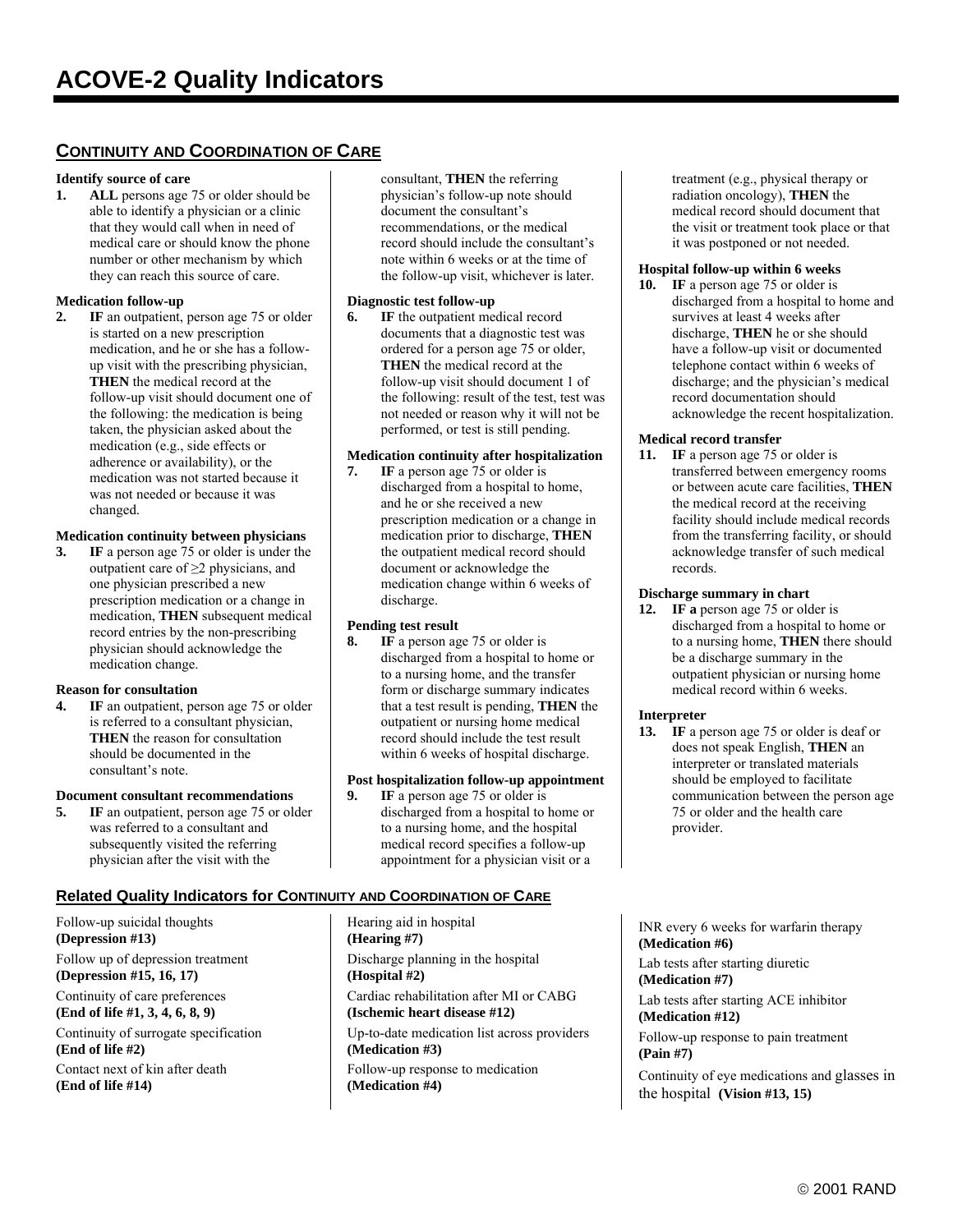# **CONTINUITY AND COORDINATION OF CARE**

#### **Identify source of care**

**1. ALL** persons age 75 or older should be able to identify a physician or a clinic that they would call when in need of medical care or should know the phone number or other mechanism by which they can reach this source of care.

#### **Medication follow-up**

**2. IF** an outpatient, person age 75 or older is started on a new prescription medication, and he or she has a followup visit with the prescribing physician, **THEN** the medical record at the follow-up visit should document one of the following: the medication is being taken, the physician asked about the medication (e.g., side effects or adherence or availability), or the medication was not started because it was not needed or because it was changed.

#### **Medication continuity between physicians**

**3. IF** a person age 75 or older is under the outpatient care of ≥2 physicians, and one physician prescribed a new prescription medication or a change in medication, **THEN** subsequent medical record entries by the non-prescribing physician should acknowledge the medication change.

#### **Reason for consultation**

**4. IF** an outpatient, person age 75 or older is referred to a consultant physician, **THEN** the reason for consultation should be documented in the consultant's note.

#### **Document consultant recommendations**

**5.** IF an outpatient, person age 75 or older was referred to a consultant and subsequently visited the referring physician after the visit with the

#### **Related Quality Indicators for CONTINUITY AND COORDINATION OF CARE**

Follow-up suicidal thoughts **(Depression #13)** Follow up of depression treatment **(Depression #15, 16, 17)** Continuity of care preferences

**(End of life #1, 3, 4, 6, 8, 9)** Continuity of surrogate specification

**(End of life #2)**

Contact next of kin after death **(End of life #14)** 

consultant, **THEN** the referring physician's follow-up note should document the consultant's recommendations, or the medical record should include the consultant's note within 6 weeks or at the time of the follow-up visit, whichever is later.

#### **Diagnostic test follow-up**

**6. IF** the outpatient medical record documents that a diagnostic test was ordered for a person age 75 or older, **THEN** the medical record at the follow-up visit should document 1 of the following: result of the test, test was not needed or reason why it will not be performed, or test is still pending.

#### **Medication continuity after hospitalization**

**7. IF** a person age 75 or older is discharged from a hospital to home, and he or she received a new prescription medication or a change in medication prior to discharge, **THEN** the outpatient medical record should document or acknowledge the medication change within 6 weeks of discharge.

#### **Pending test result**

**8. IF** a person age 75 or older is discharged from a hospital to home or to a nursing home, and the transfer form or discharge summary indicates that a test result is pending, **THEN** the outpatient or nursing home medical record should include the test result within 6 weeks of hospital discharge.

#### **Post hospitalization follow-up appointment**

**9. IF** a person age 75 or older is discharged from a hospital to home or to a nursing home, and the hospital medical record specifies a follow-up appointment for a physician visit or a

Hearing aid in hospital **(Hearing #7)** Discharge planning in the hospital **(Hospital #2)** Cardiac rehabilitation after MI or CABG **(Ischemic heart disease #12)** Up-to-date medication list across providers **(Medication #3)** Follow-up response to medication **(Medication #4)**

treatment (e.g., physical therapy or radiation oncology), **THEN** the medical record should document that the visit or treatment took place or that it was postponed or not needed.

#### **Hospital follow-up within 6 weeks**

10. **IF** a person age 75 or older is discharged from a hospital to home and survives at least 4 weeks after discharge, **THEN** he or she should have a follow-up visit or documented telephone contact within 6 weeks of discharge; and the physician's medical record documentation should acknowledge the recent hospitalization.

#### **Medical record transfer**

**11. IF** a person age 75 or older is transferred between emergency rooms or between acute care facilities, **THEN** the medical record at the receiving facility should include medical records from the transferring facility, or should acknowledge transfer of such medical records.

#### **Discharge summary in chart**

**12. IF a** person age 75 or older is discharged from a hospital to home or to a nursing home, **THEN** there should be a discharge summary in the outpatient physician or nursing home medical record within 6 weeks.

#### **Interpreter**

13. **IF** a person age 75 or older is deaf or does not speak English, **THEN** an interpreter or translated materials should be employed to facilitate communication between the person age 75 or older and the health care provider.

INR every 6 weeks for warfarin therapy **(Medication #6)** 

Lab tests after starting diuretic **(Medication #7)** 

Lab tests after starting ACE inhibitor **(Medication #12)**

Follow-up response to pain treatment **(Pain #7)**

Continuity of eye medications and glasses in the hospital **(Vision #13, 15)**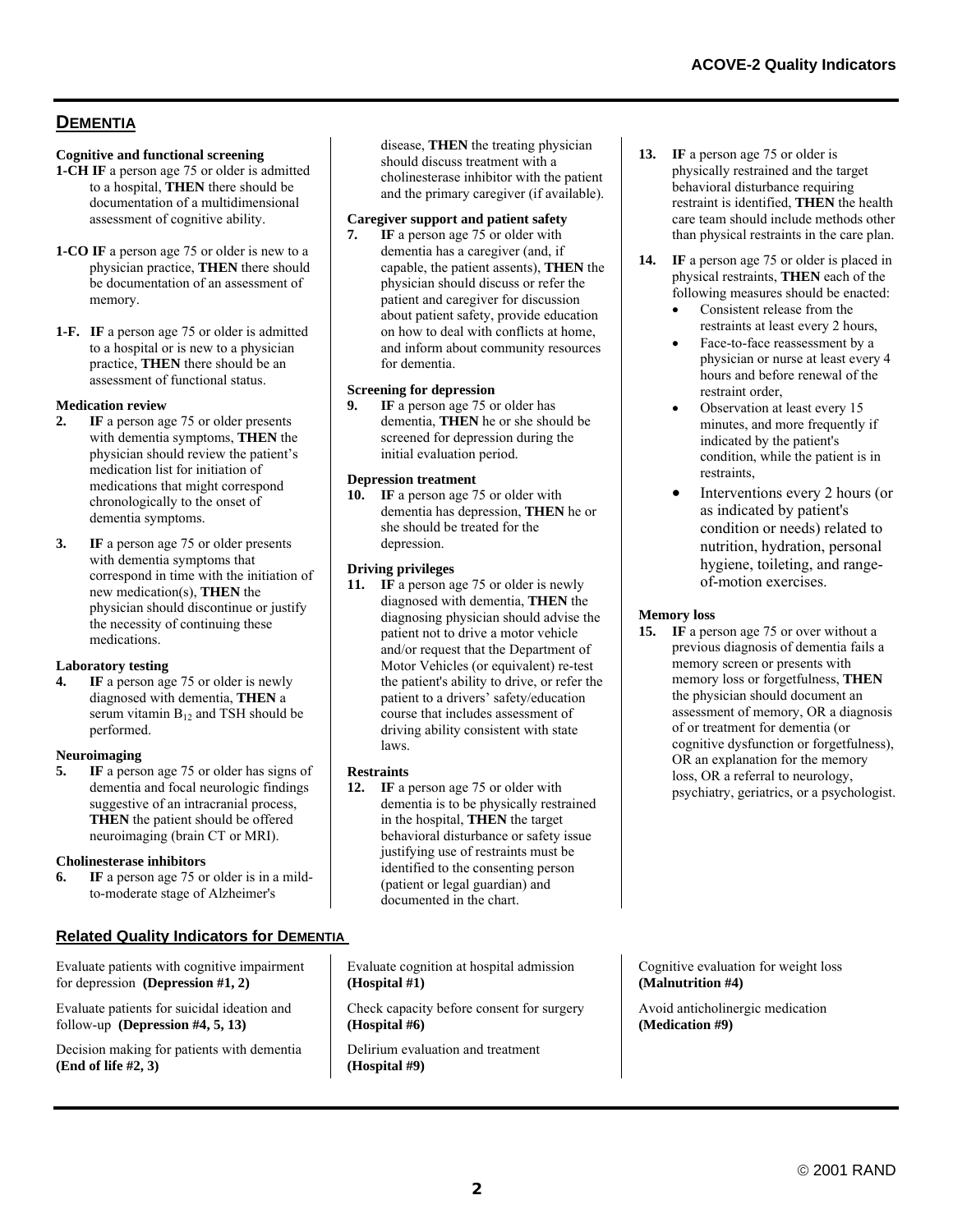# **DEMENTIA**

#### **Cognitive and functional screening**

- **1-CH IF** a person age 75 or older is admitted to a hospital, **THEN** there should be documentation of a multidimensional assessment of cognitive ability.
- **1-CO IF** a person age 75 or older is new to a physician practice, **THEN** there should be documentation of an assessment of memory.
- **1-F. IF** a person age 75 or older is admitted to a hospital or is new to a physician practice, **THEN** there should be an assessment of functional status.

#### **Medication review**

- **2. IF** a person age 75 or older presents with dementia symptoms, **THEN** the physician should review the patient's medication list for initiation of medications that might correspond chronologically to the onset of dementia symptoms.
- **3. IF** a person age 75 or older presents with dementia symptoms that correspond in time with the initiation of new medication(s), **THEN** the physician should discontinue or justify the necessity of continuing these medications.

#### **Laboratory testing**

**IF** a person age 75 or older is newly diagnosed with dementia, **THEN** a serum vitamin  $B_{12}$  and TSH should be performed.

#### **Neuroimaging**

**5. IF** a person age 75 or older has signs of dementia and focal neurologic findings suggestive of an intracranial process, **THEN** the patient should be offered neuroimaging (brain CT or MRI).

#### **Cholinesterase inhibitors**

**6. IF** a person age 75 or older is in a mildto-moderate stage of Alzheimer's

## **Related Quality Indicators for DEMENTIA**

Evaluate patients with cognitive impairment for depression **(Depression #1, 2)**

Evaluate patients for suicidal ideation and follow-up **(Depression #4, 5, 13)**

Decision making for patients with dementia **(End of life #2, 3)**

disease, **THEN** the treating physician should discuss treatment with a cholinesterase inhibitor with the patient and the primary caregiver (if available).

#### **Caregiver support and patient safety**

**7. IF** a person age 75 or older with dementia has a caregiver (and, if capable, the patient assents), **THEN** the physician should discuss or refer the patient and caregiver for discussion about patient safety, provide education on how to deal with conflicts at home, and inform about community resources for dementia.

#### **Screening for depression**

**9. IF** a person age 75 or older has dementia, **THEN** he or she should be screened for depression during the initial evaluation period.

#### **Depression treatment**

**10. IF** a person age 75 or older with dementia has depression, **THEN** he or she should be treated for the depression.

#### **Driving privileges**

11. **IF** a person age 75 or older is newly diagnosed with dementia, **THEN** the diagnosing physician should advise the patient not to drive a motor vehicle and/or request that the Department of Motor Vehicles (or equivalent) re-test the patient's ability to drive, or refer the patient to a drivers' safety/education course that includes assessment of driving ability consistent with state laws.

#### **Restraints**

**12. IF** a person age 75 or older with dementia is to be physically restrained in the hospital, **THEN** the target behavioral disturbance or safety issue justifying use of restraints must be identified to the consenting person (patient or legal guardian) and documented in the chart.

Evaluate cognition at hospital admission **(Hospital #1)**

Check capacity before consent for surgery **(Hospital #6)**

Delirium evaluation and treatment **(Hospital #9)**

- 13. **IF** a person age 75 or older is physically restrained and the target behavioral disturbance requiring restraint is identified, **THEN** the health care team should include methods other than physical restraints in the care plan.
- **14. IF** a person age 75 or older is placed in physical restraints, **THEN** each of the following measures should be enacted:
	- Consistent release from the restraints at least every 2 hours,
	- Face-to-face reassessment by a physician or nurse at least every 4 hours and before renewal of the restraint order,
	- Observation at least every 15 minutes, and more frequently if indicated by the patient's condition, while the patient is in restraints,
	- Interventions every 2 hours (or as indicated by patient's condition or needs) related to nutrition, hydration, personal hygiene, toileting, and rangeof-motion exercises.

#### **Memory loss**

**15.** IF a person age 75 or over without a previous diagnosis of dementia fails a memory screen or presents with memory loss or forgetfulness, **THEN** the physician should document an assessment of memory, OR a diagnosis of or treatment for dementia (or cognitive dysfunction or forgetfulness), OR an explanation for the memory loss, OR a referral to neurology, psychiatry, geriatrics, or a psychologist.

Cognitive evaluation for weight loss **(Malnutrition #4)**

Avoid anticholinergic medication **(Medication #9)**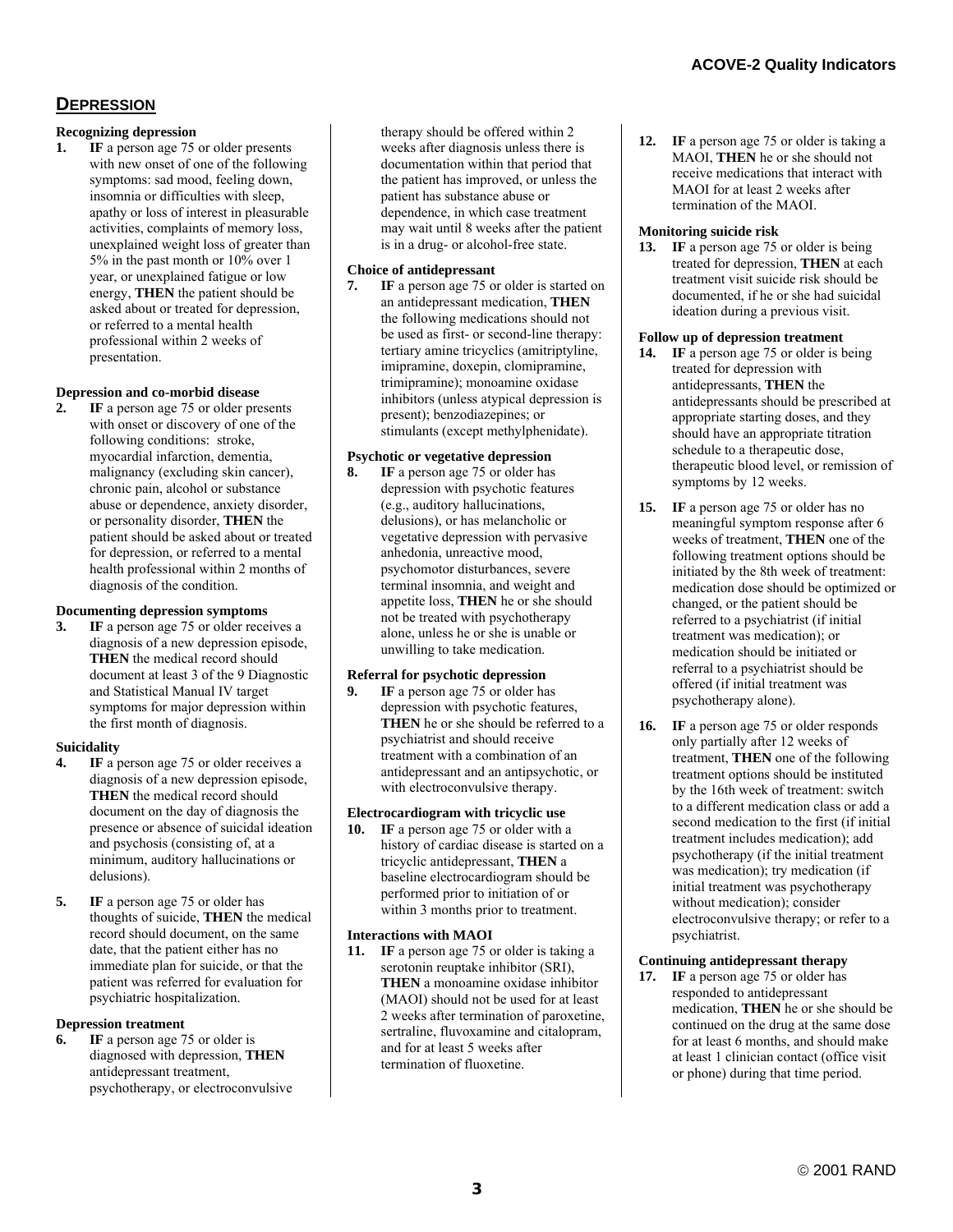## **DEPRESSION**

#### **Recognizing depression**

**1. IF** a person age 75 or older presents with new onset of one of the following symptoms: sad mood, feeling down, insomnia or difficulties with sleep, apathy or loss of interest in pleasurable activities, complaints of memory loss, unexplained weight loss of greater than 5% in the past month or 10% over 1 year, or unexplained fatigue or low energy, **THEN** the patient should be asked about or treated for depression, or referred to a mental health professional within 2 weeks of presentation.

#### **Depression and co-morbid disease**

**IF** a person age 75 or older presents with onset or discovery of one of the following conditions: stroke, myocardial infarction, dementia, malignancy (excluding skin cancer), chronic pain, alcohol or substance abuse or dependence, anxiety disorder, or personality disorder, **THEN** the patient should be asked about or treated for depression, or referred to a mental health professional within 2 months of diagnosis of the condition.

#### **Documenting depression symptoms**

**3. IF** a person age 75 or older receives a diagnosis of a new depression episode, **THEN** the medical record should document at least 3 of the 9 Diagnostic and Statistical Manual IV target symptoms for major depression within the first month of diagnosis.

#### **Suicidality**

- **4. IF** a person age 75 or older receives a diagnosis of a new depression episode, **THEN** the medical record should document on the day of diagnosis the presence or absence of suicidal ideation and psychosis (consisting of, at a minimum, auditory hallucinations or delusions).
- **5.** IF a person age 75 or older has thoughts of suicide, **THEN** the medical record should document, on the same date, that the patient either has no immediate plan for suicide, or that the patient was referred for evaluation for psychiatric hospitalization.

#### **Depression treatment**

**6. IF** a person age 75 or older is diagnosed with depression, **THEN** antidepressant treatment, psychotherapy, or electroconvulsive therapy should be offered within 2 weeks after diagnosis unless there is documentation within that period that the patient has improved, or unless the patient has substance abuse or dependence, in which case treatment may wait until 8 weeks after the patient is in a drug- or alcohol-free state.

#### **Choice of antidepressant**

**7. IF** a person age 75 or older is started on an antidepressant medication, **THEN** the following medications should not be used as first- or second-line therapy: tertiary amine tricyclics (amitriptyline, imipramine, doxepin, clomipramine, trimipramine); monoamine oxidase inhibitors (unless atypical depression is present); benzodiazepines; or stimulants (except methylphenidate).

#### **Psychotic or vegetative depression**

**8. IF** a person age 75 or older has depression with psychotic features (e.g., auditory hallucinations, delusions), or has melancholic or vegetative depression with pervasive anhedonia, unreactive mood, psychomotor disturbances, severe terminal insomnia, and weight and appetite loss, **THEN** he or she should not be treated with psychotherapy alone, unless he or she is unable or unwilling to take medication.

# **Referral for psychotic depression**<br>**9.** IF a person age 75 or older has

**IF** a person age 75 or older has depression with psychotic features, **THEN** he or she should be referred to a psychiatrist and should receive treatment with a combination of an antidepressant and an antipsychotic, or with electroconvulsive therapy.

#### **Electrocardiogram with tricyclic use**

**10. IF** a person age 75 or older with a history of cardiac disease is started on a tricyclic antidepressant, **THEN** a baseline electrocardiogram should be performed prior to initiation of or within 3 months prior to treatment.

#### **Interactions with MAOI**

**11. IF** a person age 75 or older is taking a serotonin reuptake inhibitor (SRI), **THEN** a monoamine oxidase inhibitor (MAOI) should not be used for at least 2 weeks after termination of paroxetine, sertraline, fluvoxamine and citalopram, and for at least 5 weeks after termination of fluoxetine.

**12. IF** a person age 75 or older is taking a MAOI, **THEN** he or she should not receive medications that interact with MAOI for at least 2 weeks after termination of the MAOI.

#### **Monitoring suicide risk**

13. **IF** a person age 75 or older is being treated for depression, **THEN** at each treatment visit suicide risk should be documented, if he or she had suicidal ideation during a previous visit.

#### **Follow up of depression treatment**

- **14. IF** a person age 75 or older is being treated for depression with antidepressants, **THEN** the antidepressants should be prescribed at appropriate starting doses, and they should have an appropriate titration schedule to a therapeutic dose, therapeutic blood level, or remission of symptoms by 12 weeks.
- **15. IF** a person age 75 or older has no meaningful symptom response after 6 weeks of treatment, **THEN** one of the following treatment options should be initiated by the 8th week of treatment: medication dose should be optimized or changed, or the patient should be referred to a psychiatrist (if initial treatment was medication); or medication should be initiated or referral to a psychiatrist should be offered (if initial treatment was psychotherapy alone).
- 16. **IF** a person age 75 or older responds only partially after 12 weeks of treatment, **THEN** one of the following treatment options should be instituted by the 16th week of treatment: switch to a different medication class or add a second medication to the first (if initial treatment includes medication); add psychotherapy (if the initial treatment was medication); try medication (if initial treatment was psychotherapy without medication); consider electroconvulsive therapy; or refer to a psychiatrist.

#### **Continuing antidepressant therapy**

**17. IF** a person age 75 or older has responded to antidepressant medication, **THEN** he or she should be continued on the drug at the same dose for at least 6 months, and should make at least 1 clinician contact (office visit or phone) during that time period.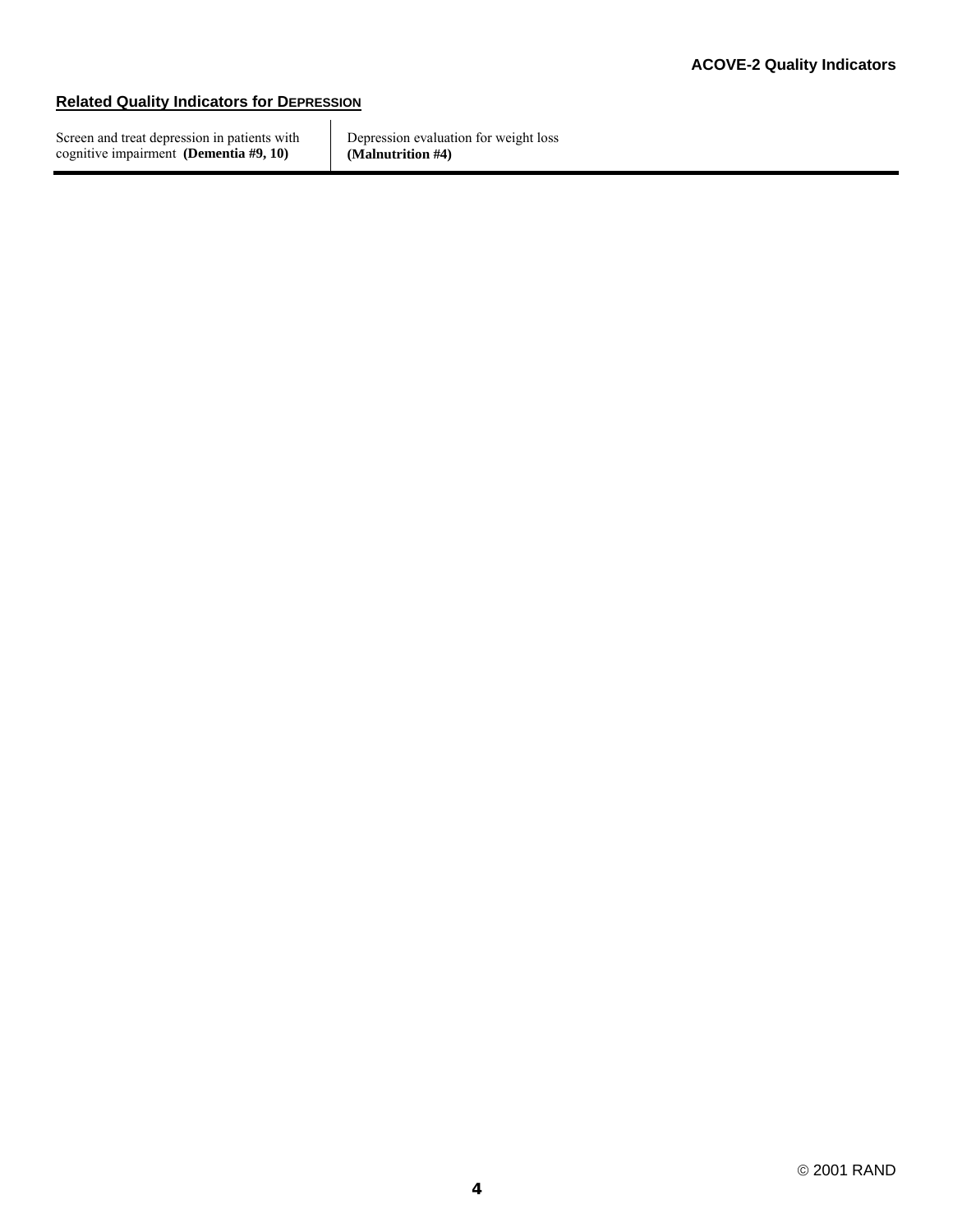# **Related Quality Indicators for DEPRESSION**

Screen and treat depression in patients with cognitive impairment **(Dementia #9, 10)**

Depression evaluation for weight loss **(Malnutrition #4)**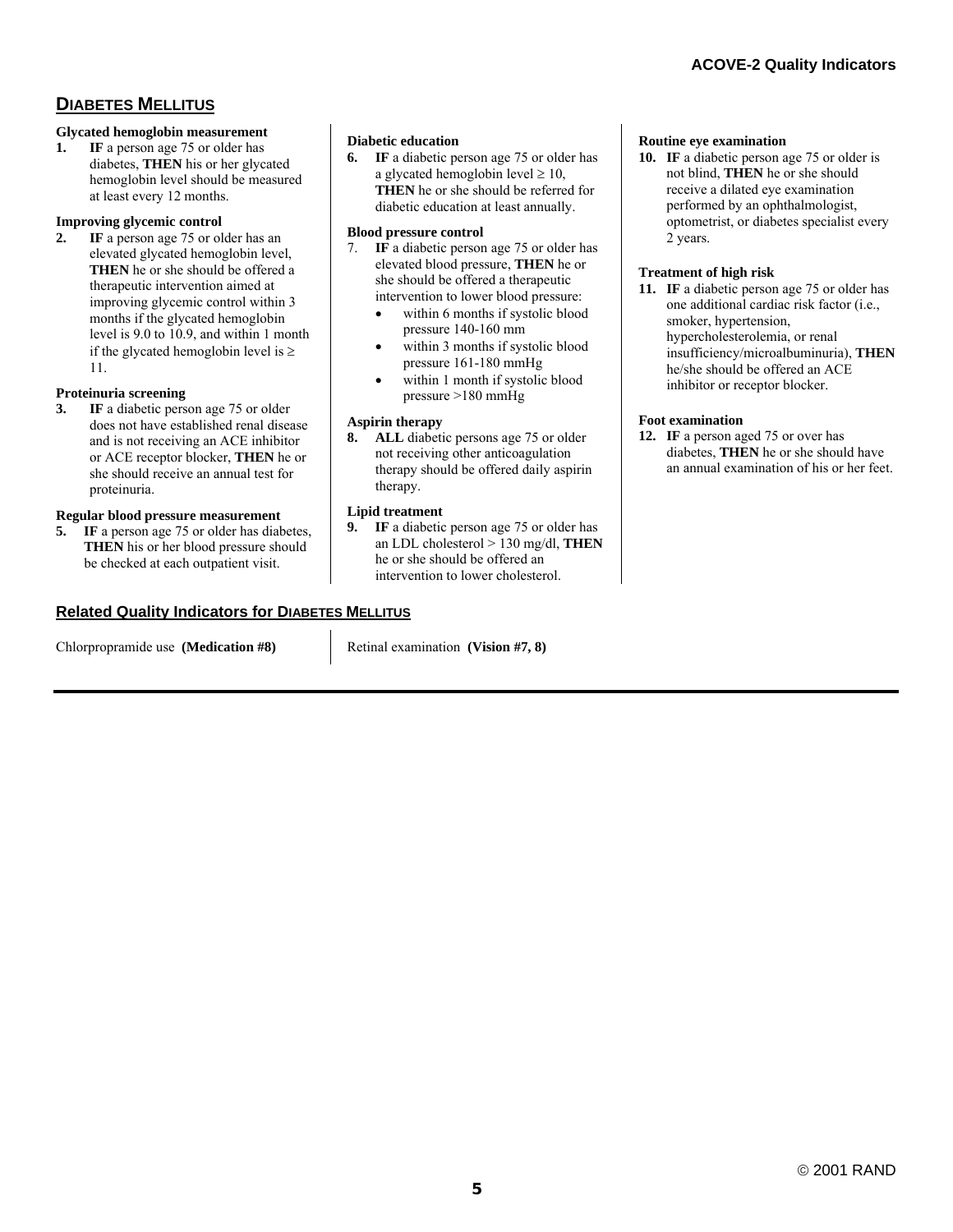# **DIABETES MELLITUS**

#### **Glycated hemoglobin measurement**

**1. IF** a person age 75 or older has diabetes, **THEN** his or her glycated hemoglobin level should be measured at least every 12 months.

#### **Improving glycemic control**

**2. IF** a person age 75 or older has an elevated glycated hemoglobin level, **THEN** he or she should be offered a therapeutic intervention aimed at improving glycemic control within 3 months if the glycated hemoglobin level is 9.0 to 10.9, and within 1 month if the glycated hemoglobin level is  $\geq$ 11.

#### **Proteinuria screening**

**3. IF** a diabetic person age 75 or older does not have established renal disease and is not receiving an ACE inhibitor or ACE receptor blocker, **THEN** he or she should receive an annual test for proteinuria.

#### **Regular blood pressure measurement**

**5. IF** a person age 75 or older has diabetes, **THEN** his or her blood pressure should be checked at each outpatient visit.

#### **Related Quality Indicators for DIABETES MELLITUS**

Chlorpropramide use **(Medication #8)** Retinal examination **(Vision #7, 8)** 

**Diabetic education** 

**6. IF** a diabetic person age 75 or older has a glycated hemoglobin level  $\geq 10$ , **THEN** he or she should be referred for diabetic education at least annually.

#### **Blood pressure control**

- 7. **IF** a diabetic person age 75 or older has elevated blood pressure, **THEN** he or she should be offered a therapeutic intervention to lower blood pressure:
	- within 6 months if systolic blood pressure 140-160 mm
	- within 3 months if systolic blood pressure 161-180 mmHg
	- within 1 month if systolic blood pressure >180 mmHg

#### **Aspirin therapy**

**8. ALL** diabetic persons age 75 or older not receiving other anticoagulation therapy should be offered daily aspirin therapy.

#### **Lipid treatment**

**9. IF** a diabetic person age 75 or older has an LDL cholesterol > 130 mg/dl, **THEN** he or she should be offered an intervention to lower cholesterol.

#### **Routine eye examination**

**10. IF** a diabetic person age 75 or older is not blind, **THEN** he or she should receive a dilated eye examination performed by an ophthalmologist, optometrist, or diabetes specialist every 2 years.

#### **Treatment of high risk**

**11. IF** a diabetic person age 75 or older has one additional cardiac risk factor (i.e., smoker, hypertension, hypercholesterolemia, or renal insufficiency/microalbuminuria), **THEN** he/she should be offered an ACE inhibitor or receptor blocker.

#### **Foot examination**

**12. IF** a person aged 75 or over has diabetes, **THEN** he or she should have an annual examination of his or her feet.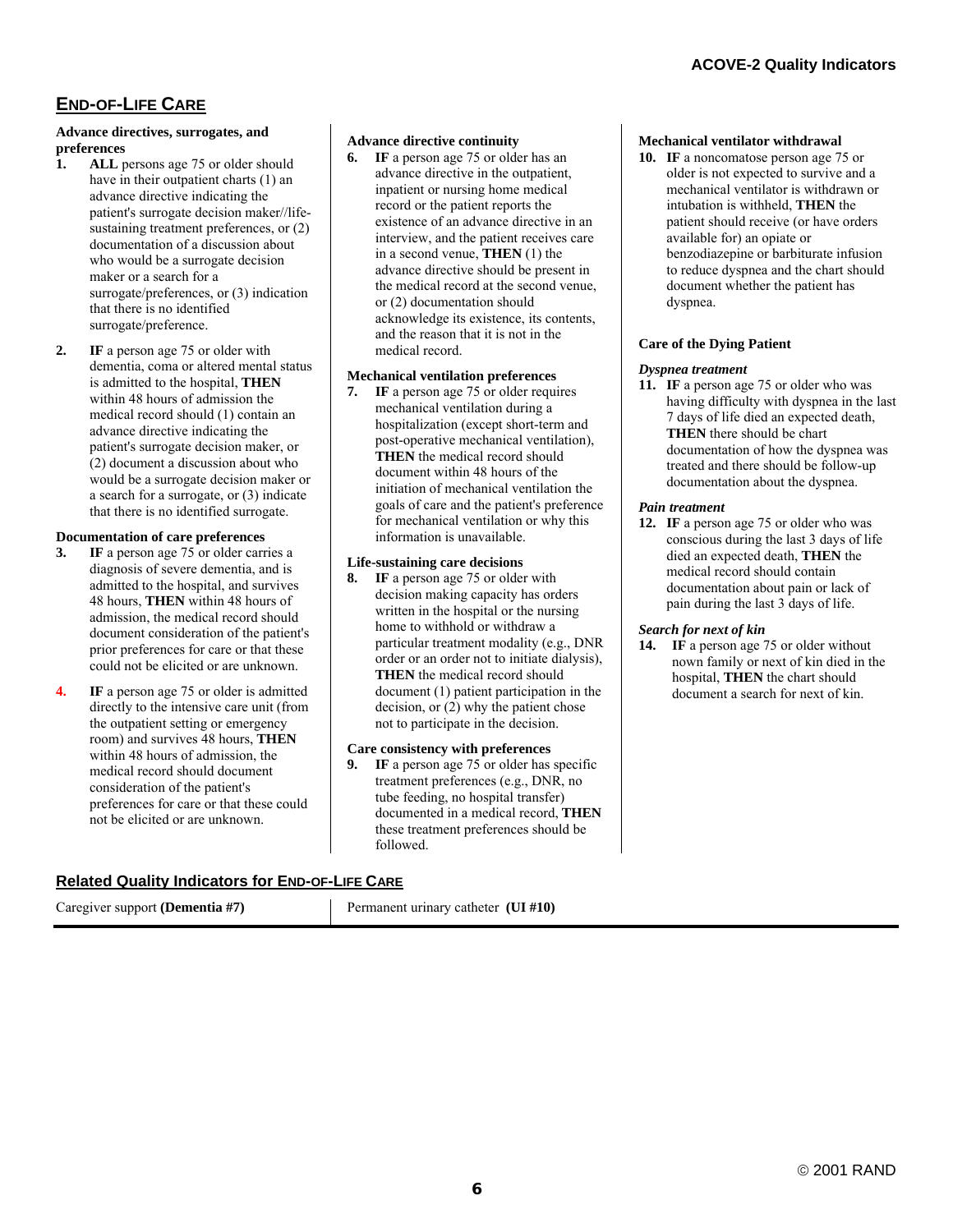# **END-OF-LIFE CARE**

#### **Advance directives, surrogates, and preferences**

- **1. ALL** persons age 75 or older should have in their outpatient charts (1) an advance directive indicating the patient's surrogate decision maker//lifesustaining treatment preferences, or  $(2)$ documentation of a discussion about who would be a surrogate decision maker or a search for a surrogate/preferences, or (3) indication that there is no identified surrogate/preference.
- **2. IF** a person age 75 or older with dementia, coma or altered mental status is admitted to the hospital, **THEN**  within 48 hours of admission the medical record should (1) contain an advance directive indicating the patient's surrogate decision maker, or (2) document a discussion about who would be a surrogate decision maker or a search for a surrogate, or (3) indicate that there is no identified surrogate.

#### **Documentation of care preferences**

- **3. IF** a person age 75 or older carries a diagnosis of severe dementia, and is admitted to the hospital, and survives 48 hours, **THEN** within 48 hours of admission, the medical record should document consideration of the patient's prior preferences for care or that these could not be elicited or are unknown.
- **4. IF** a person age 75 or older is admitted directly to the intensive care unit (from the outpatient setting or emergency room) and survives 48 hours, **THEN** within 48 hours of admission, the medical record should document consideration of the patient's preferences for care or that these could not be elicited or are unknown.

#### **Advance directive continuity**

**6. IF** a person age 75 or older has an advance directive in the outpatient, inpatient or nursing home medical record or the patient reports the existence of an advance directive in an interview, and the patient receives care in a second venue, **THEN** (1) the advance directive should be present in the medical record at the second venue, or (2) documentation should acknowledge its existence, its contents, and the reason that it is not in the medical record.

#### **Mechanical ventilation preferences**

**7. IF** a person age 75 or older requires mechanical ventilation during a hospitalization (except short-term and post-operative mechanical ventilation), **THEN** the medical record should document within 48 hours of the initiation of mechanical ventilation the goals of care and the patient's preference for mechanical ventilation or why this information is unavailable.

#### **Life-sustaining care decisions**

**8. IF** a person age 75 or older with decision making capacity has orders written in the hospital or the nursing home to withhold or withdraw a particular treatment modality (e.g., DNR order or an order not to initiate dialysis), **THEN** the medical record should document (1) patient participation in the decision, or (2) why the patient chose not to participate in the decision.

#### **Care consistency with preferences**

**9. IF** a person age 75 or older has specific treatment preferences (e.g., DNR, no tube feeding, no hospital transfer) documented in a medical record, **THEN** these treatment preferences should be followed.

# **Related Quality Indicators for END-OF-LIFE CARE**

| Caregiver support (Dementia #7) | Permanent urinary catheter (UI #10) |  |
|---------------------------------|-------------------------------------|--|
|---------------------------------|-------------------------------------|--|

## **Mechanical ventilator withdrawal**

**10. IF** a noncomatose person age 75 or older is not expected to survive and a mechanical ventilator is withdrawn or intubation is withheld, **THEN** the patient should receive (or have orders available for) an opiate or benzodiazepine or barbiturate infusion to reduce dyspnea and the chart should document whether the patient has dyspnea.

# **Care of the Dying Patient**

## *Dyspnea treatment*

**11. IF** a person age 75 or older who was having difficulty with dyspnea in the last 7 days of life died an expected death, **THEN** there should be chart documentation of how the dyspnea was treated and there should be follow-up documentation about the dyspnea.

#### *Pain treatment*

**12. IF** a person age 75 or older who was conscious during the last 3 days of life died an expected death, **THEN** the medical record should contain documentation about pain or lack of pain during the last 3 days of life.

#### *Search for next of kin*

**14. IF** a person age 75 or older without nown family or next of kin died in the hospital, **THEN** the chart should document a search for next of kin.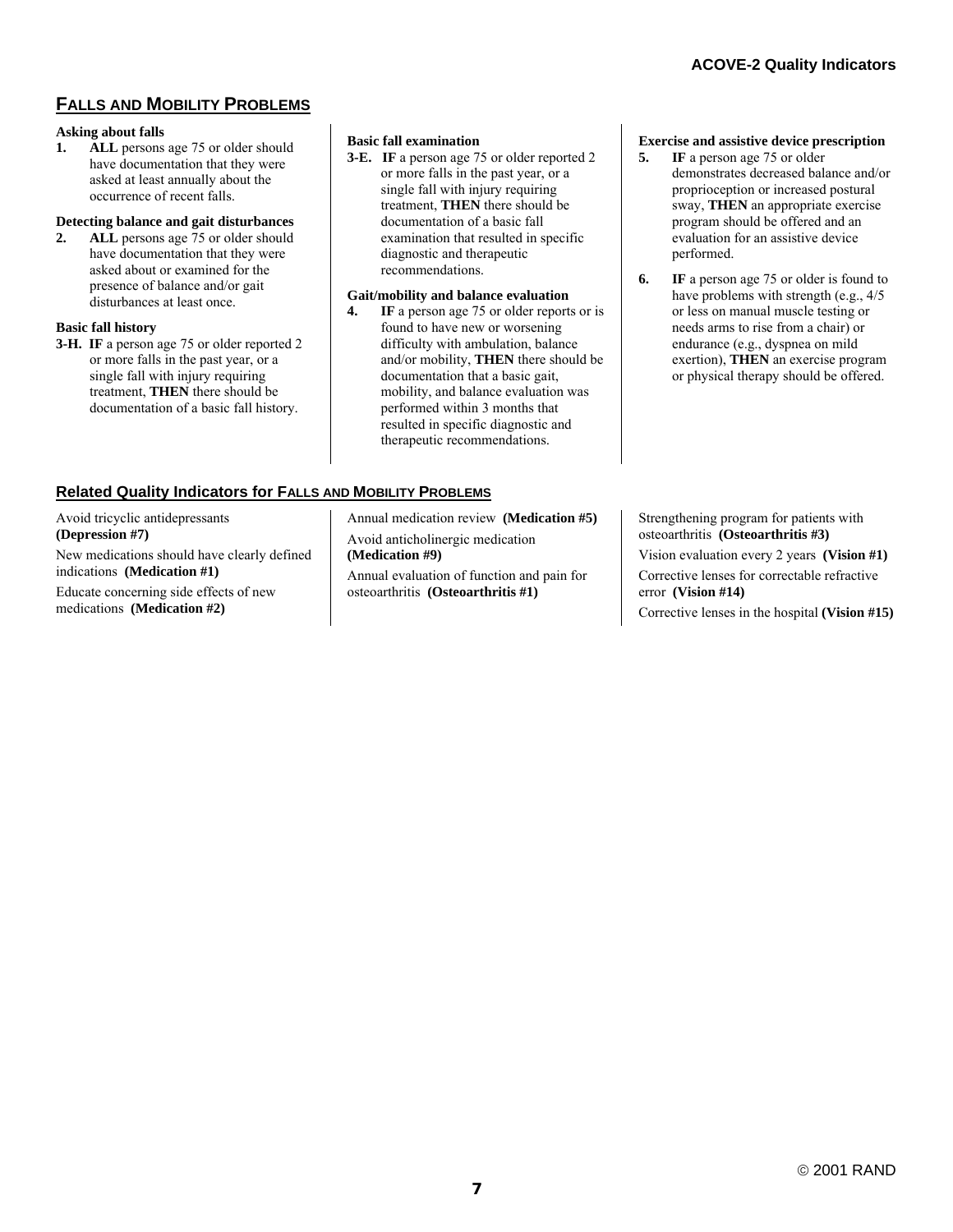# **FALLS AND MOBILITY PROBLEMS**

#### **Asking about falls**

**1. ALL** persons age 75 or older should have documentation that they were asked at least annually about the occurrence of recent falls.

#### **Detecting balance and gait disturbances**

**2. ALL** persons age 75 or older should have documentation that they were asked about or examined for the presence of balance and/or gait disturbances at least once.

#### **Basic fall history**

**3-H. IF** a person age 75 or older reported 2 or more falls in the past year, or a single fall with injury requiring treatment, **THEN** there should be documentation of a basic fall history.

#### **Basic fall examination**

**3-E. IF** a person age 75 or older reported 2 or more falls in the past year, or a single fall with injury requiring treatment, **THEN** there should be documentation of a basic fall examination that resulted in specific diagnostic and therapeutic recommendations.

#### **Gait/mobility and balance evaluation**

**4. IF** a person age 75 or older reports or is found to have new or worsening difficulty with ambulation, balance and/or mobility, **THEN** there should be documentation that a basic gait, mobility, and balance evaluation was performed within 3 months that resulted in specific diagnostic and therapeutic recommendations.

#### **Exercise and assistive device prescription**

- **5. IF** a person age 75 or older demonstrates decreased balance and/or proprioception or increased postural sway, **THEN** an appropriate exercise program should be offered and an evaluation for an assistive device performed.
- **6. IF** a person age 75 or older is found to have problems with strength (e.g., 4/5 or less on manual muscle testing or needs arms to rise from a chair) or endurance (e.g., dyspnea on mild exertion), **THEN** an exercise program or physical therapy should be offered.

# **Related Quality Indicators for FALLS AND MOBILITY PROBLEMS**

| Avoid tricyclic antidepressants                                            |
|----------------------------------------------------------------------------|
| (Depression #7)                                                            |
| New medications should have clearly defined<br>indications (Medication #1) |
| Educate concerning side effects of new                                     |
| medications (Medication #2)                                                |

Annual medication review **(Medication #5)** Avoid anticholinergic medication **(Medication #9)** Annual evaluation of function and pain for osteoarthritis **(Osteoarthritis #1)**

Strengthening program for patients with osteoarthritis **(Osteoarthritis #3)** Vision evaluation every 2 years **(Vision #1)** Corrective lenses for correctable refractive error **(Vision #14)**  Corrective lenses in the hospital **(Vision #15)**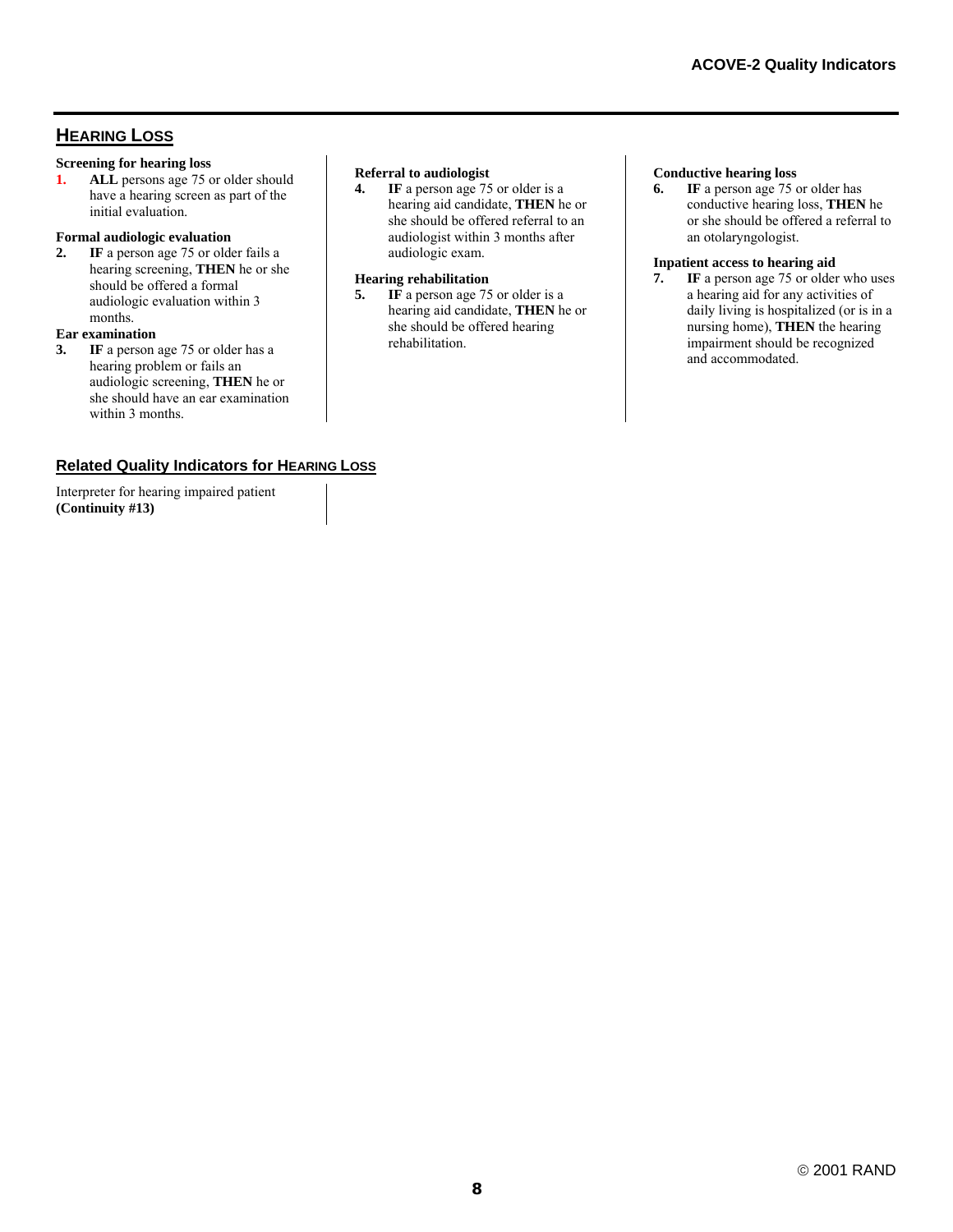# **HEARING LOSS**

#### **Screening for hearing loss**

**1. ALL** persons age 75 or older should have a hearing screen as part of the initial evaluation.

#### **Formal audiologic evaluation**

**2. IF** a person age 75 or older fails a hearing screening, **THEN** he or she should be offered a formal audiologic evaluation within 3 months.

### **Ear examination**

**3. IF** a person age 75 or older has a hearing problem or fails an audiologic screening, **THEN** he or she should have an ear examination within 3 months.

#### **Referral to audiologist**

**4. IF** a person age 75 or older is a hearing aid candidate, **THEN** he or she should be offered referral to an audiologist within 3 months after audiologic exam.

#### **Hearing rehabilitation**

**5. IF** a person age 75 or older is a hearing aid candidate, **THEN** he or she should be offered hearing rehabilitation.

#### **Conductive hearing loss**

**6. IF** a person age 75 or older has conductive hearing loss, **THEN** he or she should be offered a referral to an otolaryngologist.

#### **Inpatient access to hearing aid**

**7. IF** a person age 75 or older who uses a hearing aid for any activities of daily living is hospitalized (or is in a nursing home), **THEN** the hearing impairment should be recognized and accommodated.

# **Related Quality Indicators for HEARING LOSS**

Interpreter for hearing impaired patient **(Continuity #13)**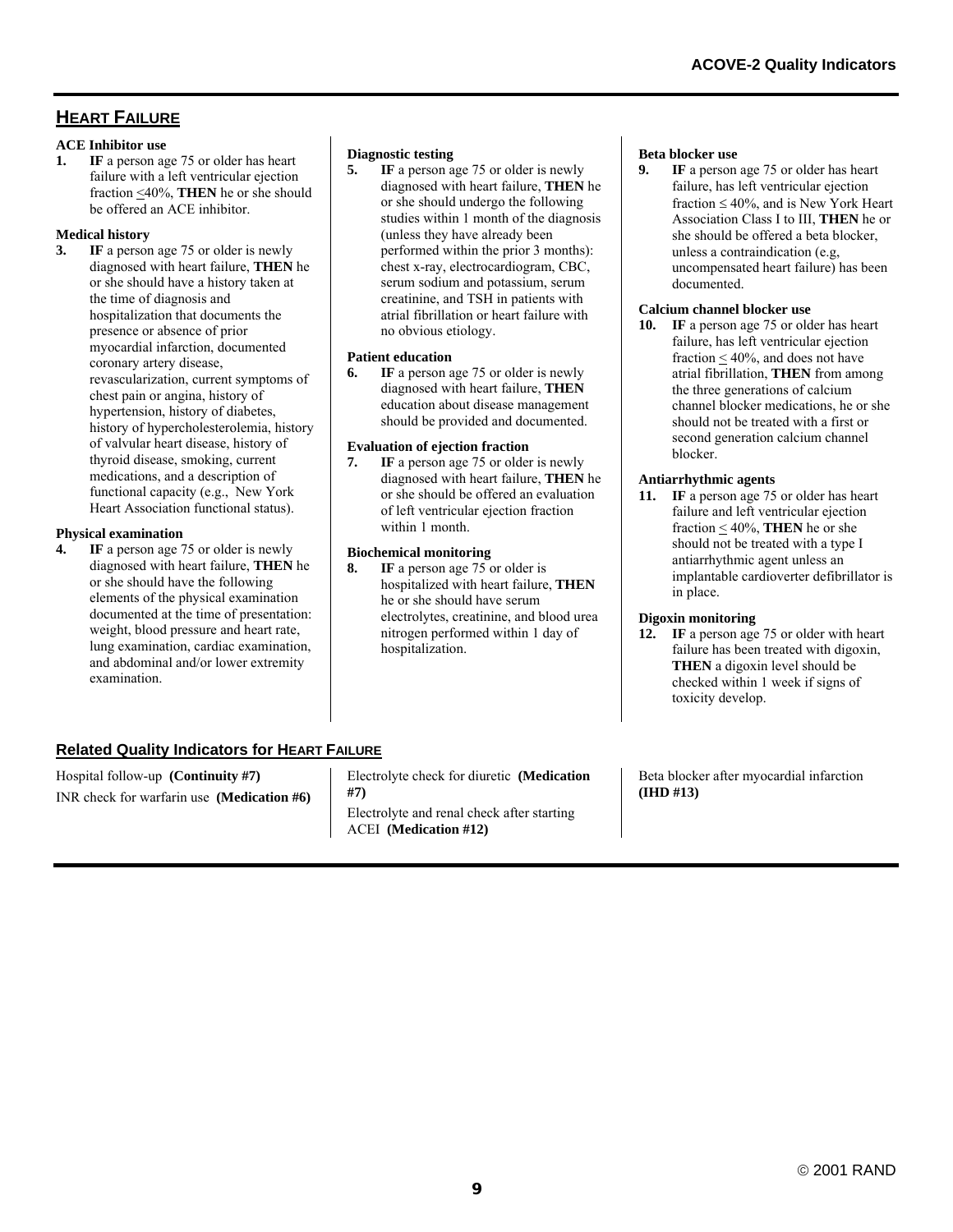# **HEART FAILURE**

#### **ACE Inhibitor use**

**1. IF** a person age 75 or older has heart failure with a left ventricular ejection fraction <40%, **THEN** he or she should be offered an ACE inhibitor.

#### **Medical history**

**3. IF** a person age 75 or older is newly diagnosed with heart failure, **THEN** he or she should have a history taken at the time of diagnosis and hospitalization that documents the presence or absence of prior myocardial infarction, documented coronary artery disease, revascularization, current symptoms of chest pain or angina, history of hypertension, history of diabetes, history of hypercholesterolemia, history of valvular heart disease, history of thyroid disease, smoking, current medications, and a description of functional capacity (e.g., New York Heart Association functional status).

### **Physical examination**

**4. IF** a person age 75 or older is newly diagnosed with heart failure, **THEN** he or she should have the following elements of the physical examination documented at the time of presentation: weight, blood pressure and heart rate, lung examination, cardiac examination, and abdominal and/or lower extremity examination.

## **Diagnostic testing**

**5.** IF a person age 75 or older is newly diagnosed with heart failure, **THEN** he or she should undergo the following studies within 1 month of the diagnosis (unless they have already been performed within the prior 3 months): chest x-ray, electrocardiogram, CBC, serum sodium and potassium, serum creatinine, and TSH in patients with atrial fibrillation or heart failure with no obvious etiology.

#### **Patient education**

**6. IF** a person age 75 or older is newly diagnosed with heart failure, **THEN** education about disease management should be provided and documented.

## **Evaluation of ejection fraction**

**7. IF** a person age 75 or older is newly diagnosed with heart failure, **THEN** he or she should be offered an evaluation of left ventricular ejection fraction within 1 month.

## **Biochemical monitoring**

**8. IF** a person age 75 or older is hospitalized with heart failure, **THEN** he or she should have serum electrolytes, creatinine, and blood urea nitrogen performed within 1 day of hospitalization.

## **Beta blocker use**

**9. IF** a person age 75 or older has heart failure, has left ventricular ejection fraction  $\leq 40\%$ , and is New York Heart Association Class I to III, **THEN** he or she should be offered a beta blocker, unless a contraindication (e.g, uncompensated heart failure) has been documented.

### **Calcium channel blocker use**

**10. IF** a person age 75 or older has heart failure, has left ventricular ejection fraction  $\leq 40\%$ , and does not have atrial fibrillation, **THEN** from among the three generations of calcium channel blocker medications, he or she should not be treated with a first or second generation calcium channel blocker.

## **Antiarrhythmic agents**

**11. IF** a person age 75 or older has heart failure and left ventricular ejection fraction  $\leq 40\%$ , **THEN** he or she should not be treated with a type I antiarrhythmic agent unless an implantable cardioverter defibrillator is in place.

## **Digoxin monitoring**

**12. IF** a person age 75 or older with heart failure has been treated with digoxin, **THEN** a digoxin level should be checked within 1 week if signs of toxicity develop.

# **Related Quality Indicators for HEART FAILURE**

Hospital follow-up **(Continuity #7)** INR check for warfarin use **(Medication #6)** Electrolyte check for diuretic **(Medication #7)** Electrolyte and renal check after starting ACEI **(Medication #12)**

Beta blocker after myocardial infarction **(IHD #13)**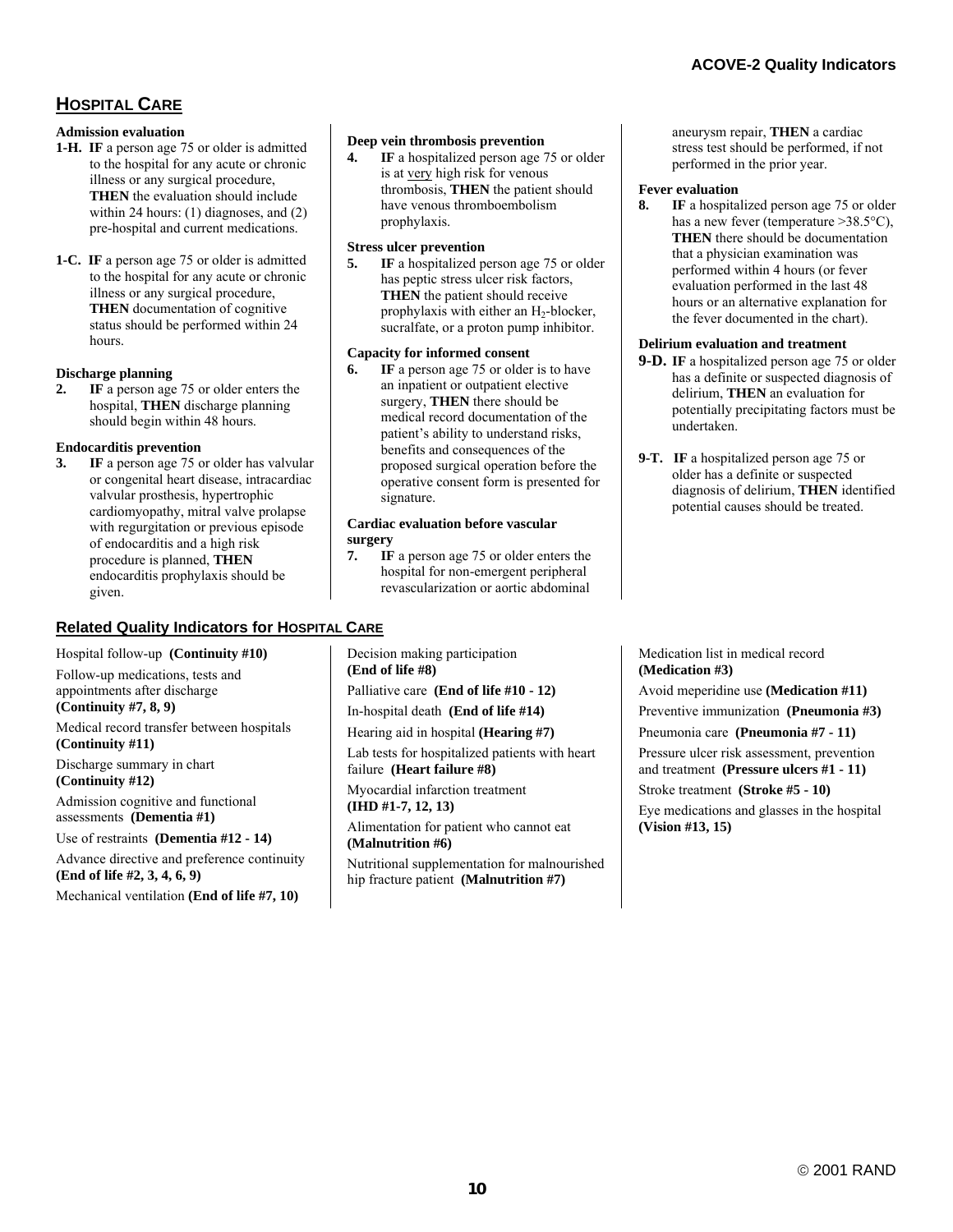# **HOSPITAL CARE**

#### **Admission evaluation**

- **1-H. IF** a person age 75 or older is admitted to the hospital for any acute or chronic illness or any surgical procedure, **THEN** the evaluation should include within 24 hours: (1) diagnoses, and (2) pre-hospital and current medications.
- **1-C. IF** a person age 75 or older is admitted to the hospital for any acute or chronic illness or any surgical procedure, **THEN** documentation of cognitive status should be performed within 24 hours.

#### **Discharge planning**

**1F** a person age 75 or older enters the hospital, **THEN** discharge planning should begin within 48 hours.

#### **Endocarditis prevention**

**3. IF** a person age 75 or older has valvular or congenital heart disease, intracardiac valvular prosthesis, hypertrophic cardiomyopathy, mitral valve prolapse with regurgitation or previous episode of endocarditis and a high risk procedure is planned, **THEN** endocarditis prophylaxis should be given.

# **Related Quality Indicators for HOSPITAL CARE**

Hospital follow-up **(Continuity #10)** Follow-up medications, tests and appointments after discharge **(Continuity #7, 8, 9)**  Medical record transfer between hospitals **(Continuity #11)** Discharge summary in chart **(Continuity #12)** Admission cognitive and functional assessments **(Dementia #1)** Use of restraints **(Dementia #12 - 14)** Advance directive and preference continuity

**(End of life #2, 3, 4, 6, 9)** Mechanical ventilation **(End of life #7, 10)**

#### **Deep vein thrombosis prevention**

**4. IF** a hospitalized person age 75 or older is at very high risk for venous thrombosis, **THEN** the patient should have venous thromboembolism prophylaxis.

#### **Stress ulcer prevention**

**5.** IF a hospitalized person age 75 or older has peptic stress ulcer risk factors, **THEN** the patient should receive prophylaxis with either an  $H_2$ -blocker, sucralfate, or a proton pump inhibitor.

#### **Capacity for informed consent**

**6. IF** a person age 75 or older is to have an inpatient or outpatient elective surgery, **THEN** there should be medical record documentation of the patient's ability to understand risks, benefits and consequences of the proposed surgical operation before the operative consent form is presented for signature.

#### **Cardiac evaluation before vascular surgery**

**7. IF** a person age 75 or older enters the hospital for non-emergent peripheral revascularization or aortic abdominal

Decision making participation **(End of life #8)** Palliative care **(End of life #10 - 12)** In-hospital death **(End of life #14)**  Hearing aid in hospital **(Hearing #7)** Lab tests for hospitalized patients with heart failure **(Heart failure #8)**  Myocardial infarction treatment **(IHD #1-7, 12, 13)** Alimentation for patient who cannot eat **(Malnutrition #6)** Nutritional supplementation for malnourished hip fracture patient **(Malnutrition #7)**

aneurysm repair, **THEN** a cardiac stress test should be performed, if not performed in the prior year.

#### **Fever evaluation**

**8. IF** a hospitalized person age 75 or older has a new fever (temperature  $>38.5^{\circ}C$ ), **THEN** there should be documentation that a physician examination was performed within 4 hours (or fever evaluation performed in the last 48 hours or an alternative explanation for the fever documented in the chart).

#### **Delirium evaluation and treatment**

- **9-D. IF** a hospitalized person age 75 or older has a definite or suspected diagnosis of delirium, **THEN** an evaluation for potentially precipitating factors must be undertaken.
- **9-T. IF** a hospitalized person age 75 or older has a definite or suspected diagnosis of delirium, **THEN** identified potential causes should be treated.

Medication list in medical record **(Medication #3)**

Avoid meperidine use **(Medication #11)** Preventive immunization **(Pneumonia #3)** Pneumonia care **(Pneumonia #7 - 11)** Pressure ulcer risk assessment, prevention and treatment **(Pressure ulcers #1 - 11)** Stroke treatment **(Stroke #5 - 10)** Eye medications and glasses in the hospital **(Vision #13, 15)**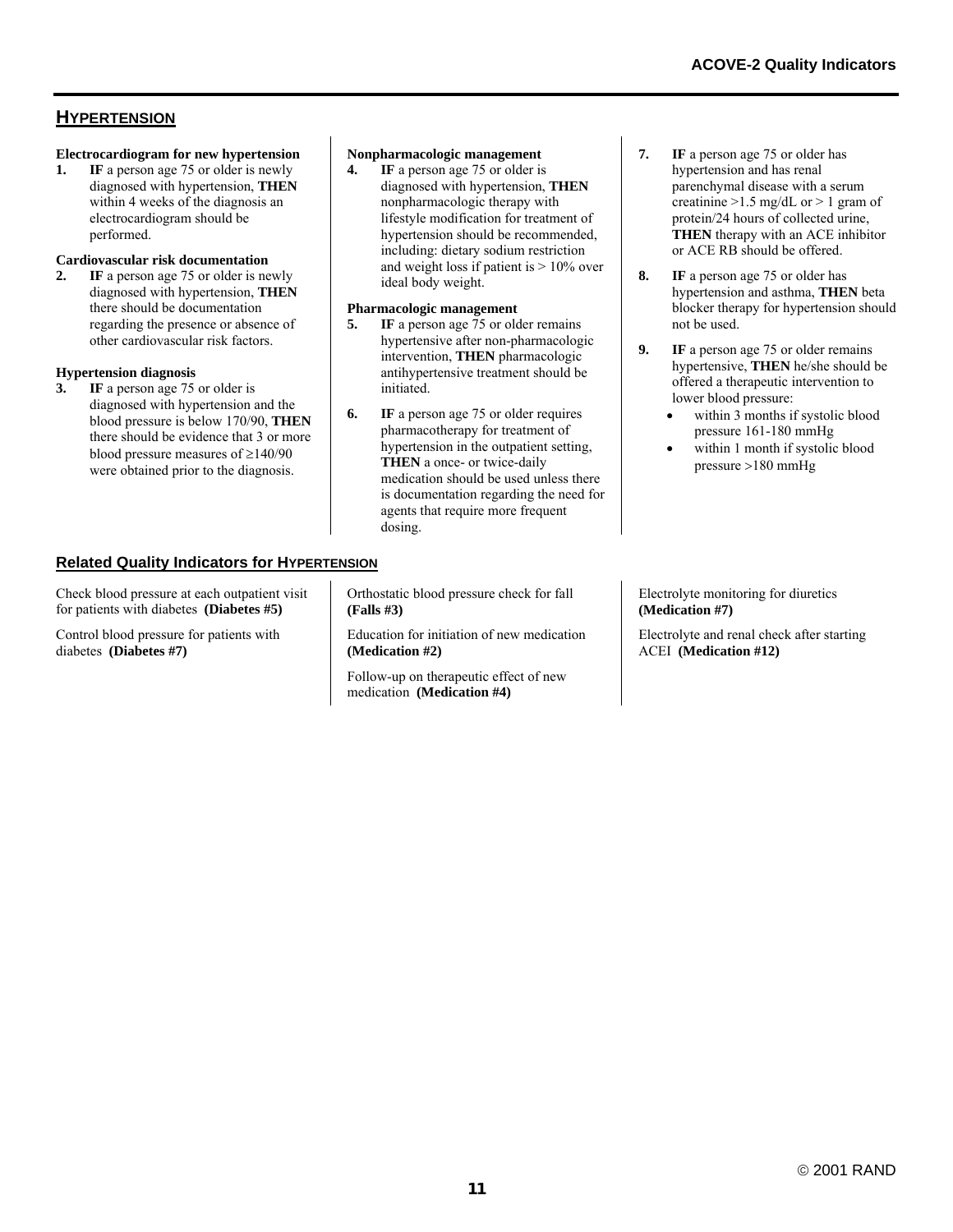# **HYPERTENSION**

#### **Electrocardiogram for new hypertension**

1. **IF** a person age 75 or older is newly diagnosed with hypertension, **THEN** within 4 weeks of the diagnosis an electrocardiogram should be performed.

#### **Cardiovascular risk documentation**

**2. IF** a person age 75 or older is newly diagnosed with hypertension, **THEN** there should be documentation regarding the presence or absence of other cardiovascular risk factors.

#### **Hypertension diagnosis**

**3. IF** a person age 75 or older is diagnosed with hypertension and the blood pressure is below 170/90, **THEN** there should be evidence that 3 or more blood pressure measures of ≥140/90 were obtained prior to the diagnosis.

#### **Nonpharmacologic management**

**4. IF** a person age 75 or older is diagnosed with hypertension, **THEN** nonpharmacologic therapy with lifestyle modification for treatment of hypertension should be recommended, including: dietary sodium restriction and weight loss if patient is  $> 10\%$  over ideal body weight.

#### **Pharmacologic management**

- **5.** IF a person age 75 or older remains hypertensive after non-pharmacologic intervention, **THEN** pharmacologic antihypertensive treatment should be initiated.
- **6. IF** a person age 75 or older requires pharmacotherapy for treatment of hypertension in the outpatient setting, **THEN** a once- or twice-daily medication should be used unless there is documentation regarding the need for agents that require more frequent dosing.
- **7. IF** a person age 75 or older has hypertension and has renal parenchymal disease with a serum creatinine  $>1.5$  mg/dL or  $>1$  gram of protein/24 hours of collected urine, **THEN** therapy with an ACE inhibitor or ACE RB should be offered.
- **8. IF** a person age 75 or older has hypertension and asthma, **THEN** beta blocker therapy for hypertension should not be used.
- **9. IF** a person age 75 or older remains hypertensive, **THEN** he/she should be offered a therapeutic intervention to lower blood pressure:
	- within 3 months if systolic blood pressure 161-180 mmHg
	- within 1 month if systolic blood pressure >180 mmHg

### **Related Quality Indicators for HYPERTENSION**

Check blood pressure at each outpatient visit for patients with diabetes **(Diabetes #5)**

Control blood pressure for patients with diabetes **(Diabetes #7)**

Orthostatic blood pressure check for fall **(Falls #3)**

Education for initiation of new medication **(Medication #2)**

Follow-up on therapeutic effect of new medication **(Medication #4)**

Electrolyte monitoring for diuretics **(Medication #7)**

Electrolyte and renal check after starting ACEI **(Medication #12)**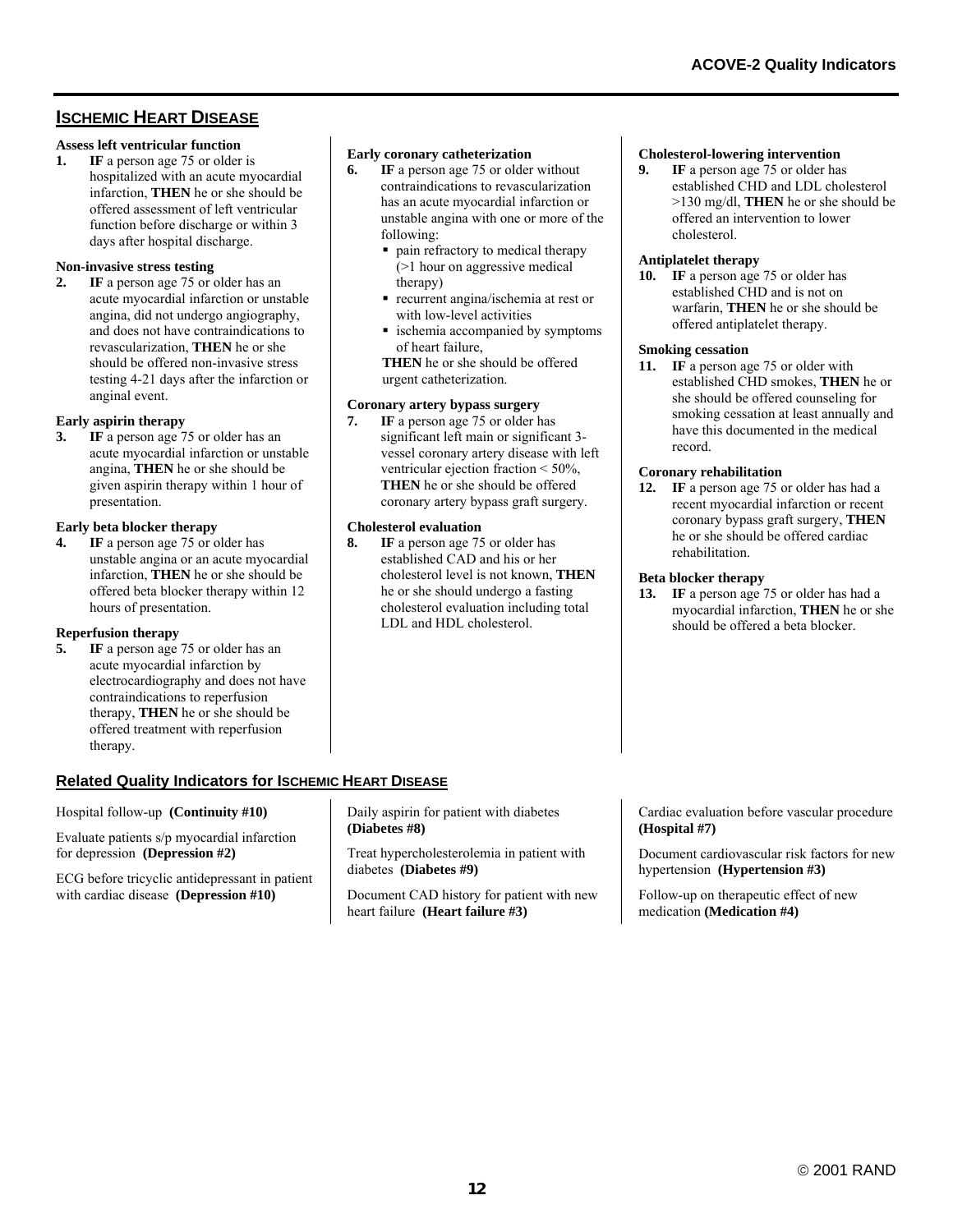# **ISCHEMIC HEART DISEASE**

## **Assess left ventricular function**

1. **IF** a person age 75 or older is hospitalized with an acute myocardial infarction, **THEN** he or she should be offered assessment of left ventricular function before discharge or within 3 days after hospital discharge.

#### **Non-invasive stress testing**

**2. IF** a person age 75 or older has an acute myocardial infarction or unstable angina, did not undergo angiography, and does not have contraindications to revascularization, **THEN** he or she should be offered non-invasive stress testing 4-21 days after the infarction or anginal event.

#### **Early aspirin therapy**

**3. IF** a person age 75 or older has an acute myocardial infarction or unstable angina, **THEN** he or she should be given aspirin therapy within 1 hour of presentation.

#### **Early beta blocker therapy**

**4. IF** a person age 75 or older has unstable angina or an acute myocardial infarction, **THEN** he or she should be offered beta blocker therapy within 12 hours of presentation.

#### **Reperfusion therapy**

**5.** IF a person age 75 or older has an acute myocardial infarction by electrocardiography and does not have contraindications to reperfusion therapy, **THEN** he or she should be offered treatment with reperfusion therapy.

## **Related Quality Indicators for ISCHEMIC HEART DISEASE**

#### Hospital follow-up **(Continuity #10)**

Evaluate patients s/p myocardial infarction for depression **(Depression #2)**

ECG before tricyclic antidepressant in patient with cardiac disease **(Depression #10)**

#### **Early coronary catheterization**

- **6. IF** a person age 75 or older without contraindications to revascularization has an acute myocardial infarction or unstable angina with one or more of the following:
	- pain refractory to medical therapy (>1 hour on aggressive medical therapy)
	- **recurrent angina/ischemia at rest or** with low-level activities
	- **Exercise 1** ischemia accompanied by symptoms of heart failure,

**THEN** he or she should be offered urgent catheterization.

#### **Coronary artery bypass surgery**

**7. IF** a person age 75 or older has significant left main or significant 3 vessel coronary artery disease with left ventricular ejection fraction < 50%, **THEN** he or she should be offered coronary artery bypass graft surgery.

#### **Cholesterol evaluation**

**8. IF** a person age 75 or older has established CAD and his or her cholesterol level is not known, **THEN** he or she should undergo a fasting cholesterol evaluation including total LDL and HDL cholesterol.

#### **Cholesterol-lowering intervention**

**9. IF** a person age 75 or older has established CHD and LDL cholesterol >130 mg/dl, **THEN** he or she should be offered an intervention to lower cholesterol.

#### **Antiplatelet therapy**

**10. IF** a person age 75 or older has established CHD and is not on warfarin, **THEN** he or she should be offered antiplatelet therapy.

#### **Smoking cessation**

**11. IF** a person age 75 or older with established CHD smokes, **THEN** he or she should be offered counseling for smoking cessation at least annually and have this documented in the medical record.

#### **Coronary rehabilitation**

**12. IF** a person age 75 or older has had a recent myocardial infarction or recent coronary bypass graft surgery, **THEN** he or she should be offered cardiac rehabilitation.

#### **Beta blocker therapy**

13. **IF** a person age 75 or older has had a myocardial infarction, **THEN** he or she should be offered a beta blocker.

#### Daily aspirin for patient with diabetes **(Diabetes #8)**

Treat hypercholesterolemia in patient with diabetes **(Diabetes #9)**

Document CAD history for patient with new heart failure **(Heart failure #3)**

Cardiac evaluation before vascular procedure **(Hospital #7)**

Document cardiovascular risk factors for new hypertension **(Hypertension #3)** 

Follow-up on therapeutic effect of new medication **(Medication #4)**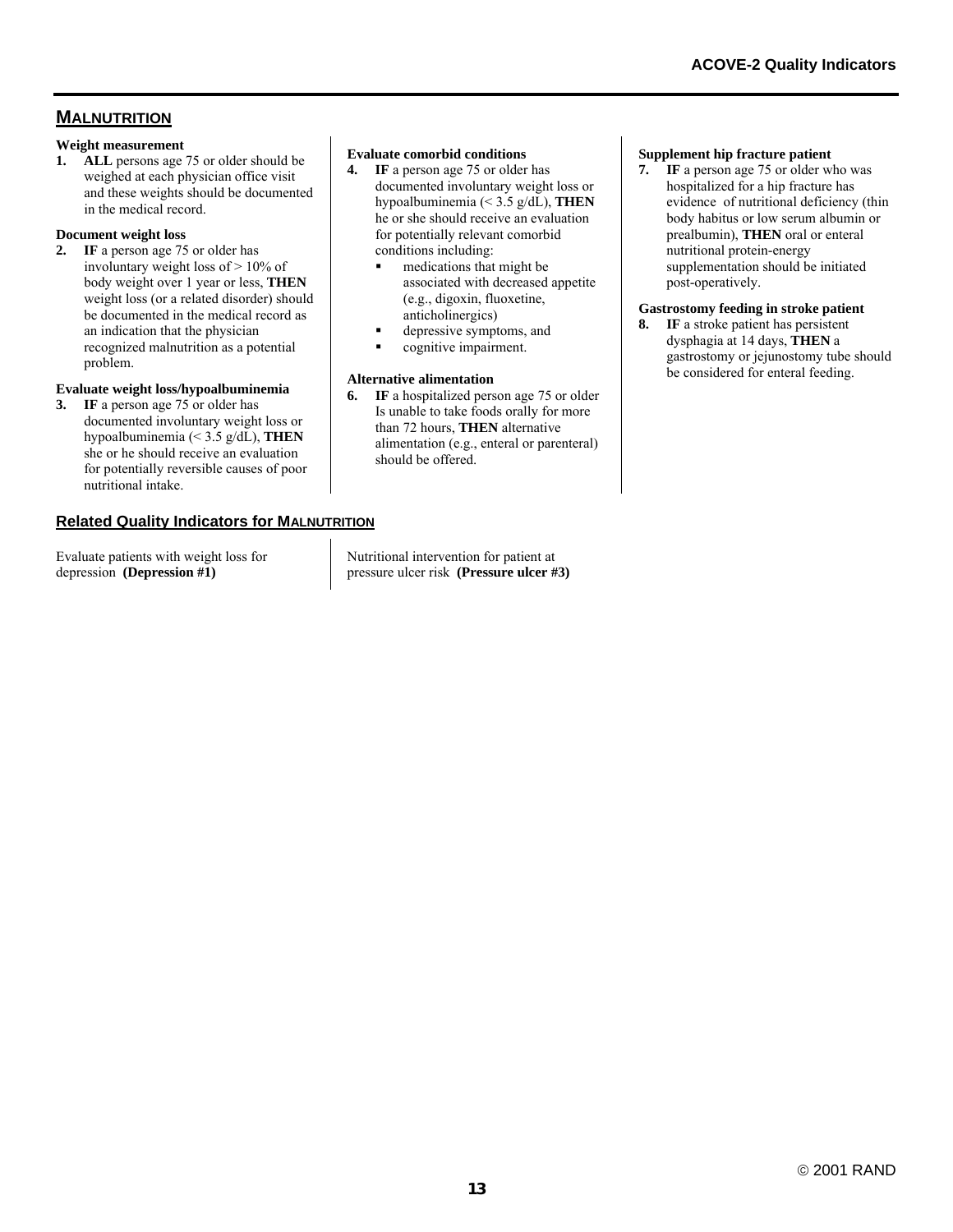# **MALNUTRITION**

#### **Weight measurement**

**1. ALL** persons age 75 or older should be weighed at each physician office visit and these weights should be documented in the medical record.

#### **Document weight loss**

**2. IF** a person age 75 or older has involuntary weight loss of > 10% of body weight over 1 year or less, **THEN** weight loss (or a related disorder) should be documented in the medical record as an indication that the physician recognized malnutrition as a potential problem.

#### **Evaluate weight loss/hypoalbuminemia**

**3. IF** a person age 75 or older has documented involuntary weight loss or hypoalbuminemia (< 3.5 g/dL), **THEN** she or he should receive an evaluation for potentially reversible causes of poor nutritional intake.

### **Related Quality Indicators for MALNUTRITION**

Evaluate patients with weight loss for depression **(Depression #1)**

**Evaluate comorbid conditions** 

- **4. IF** a person age 75 or older has documented involuntary weight loss or hypoalbuminemia (< 3.5 g/dL), **THEN** he or she should receive an evaluation for potentially relevant comorbid conditions including:
	- **medications that might be** associated with decreased appetite (e.g., digoxin, fluoxetine, anticholinergics)
	- depressive symptoms, and
	- **•** cognitive impairment.

#### **Alternative alimentation**

**6. IF** a hospitalized person age 75 or older Is unable to take foods orally for more than 72 hours, **THEN** alternative alimentation (e.g., enteral or parenteral) should be offered.

#### **Supplement hip fracture patient**

**7. IF** a person age 75 or older who was hospitalized for a hip fracture has evidence of nutritional deficiency (thin body habitus or low serum albumin or prealbumin), **THEN** oral or enteral nutritional protein-energy supplementation should be initiated post-operatively.

#### **Gastrostomy feeding in stroke patient**

**8. IF** a stroke patient has persistent dysphagia at 14 days, **THEN** a gastrostomy or jejunostomy tube should be considered for enteral feeding.

Nutritional intervention for patient at pressure ulcer risk **(Pressure ulcer #3)**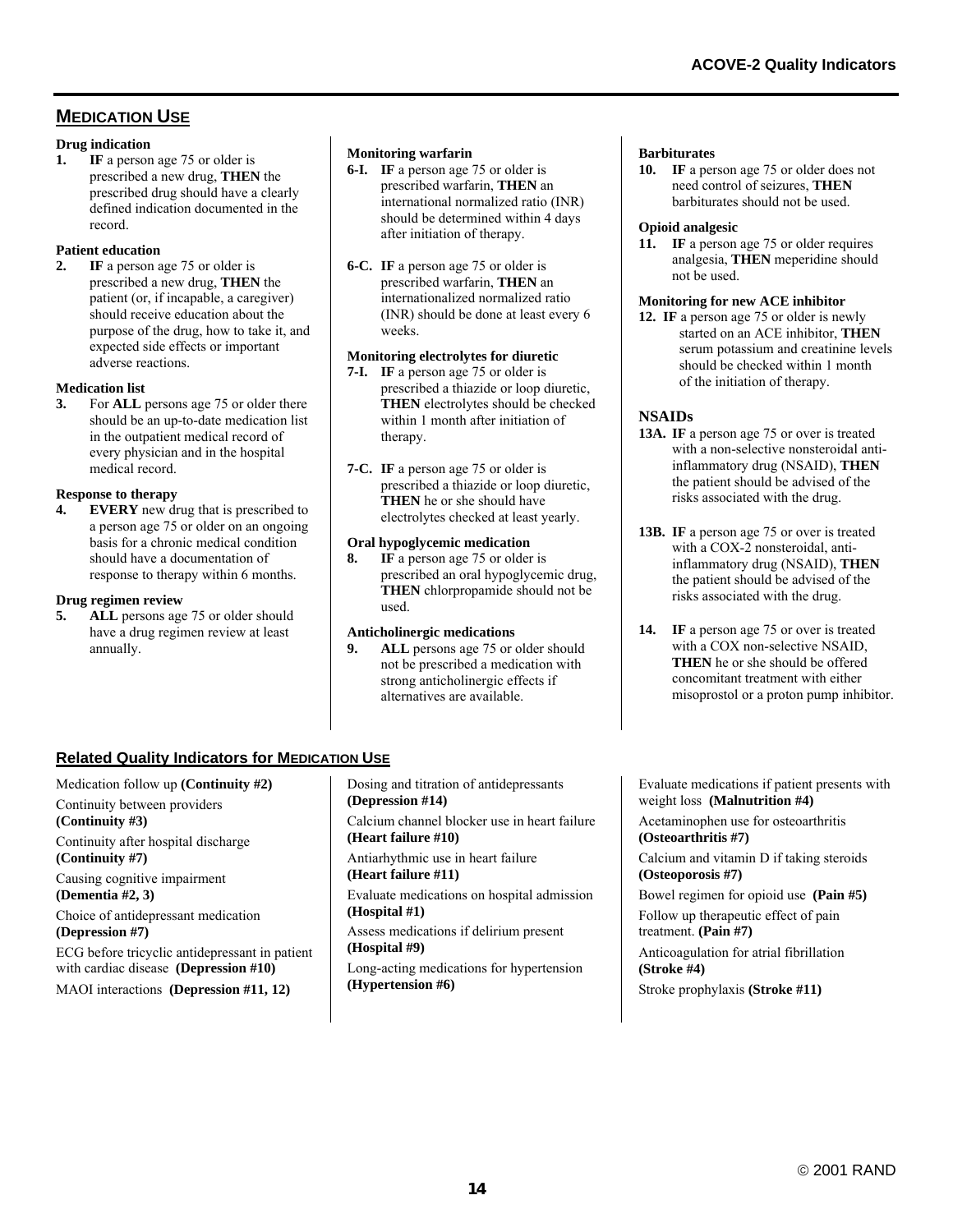# **MEDICATION USE**

#### **Drug indication**

**1. IF** a person age 75 or older is prescribed a new drug, **THEN** the prescribed drug should have a clearly defined indication documented in the record.

#### **Patient education**

**2. IF** a person age 75 or older is prescribed a new drug, **THEN** the patient (or, if incapable, a caregiver) should receive education about the purpose of the drug, how to take it, and expected side effects or important adverse reactions.

#### **Medication list**

**3.** For **ALL** persons age 75 or older there should be an up-to-date medication list in the outpatient medical record of every physician and in the hospital medical record.

#### **Response to therapy**

**4. EVERY** new drug that is prescribed to a person age 75 or older on an ongoing basis for a chronic medical condition should have a documentation of response to therapy within 6 months.

#### **Drug regimen review**

**5. ALL** persons age 75 or older should have a drug regimen review at least annually.

#### **Monitoring warfarin**

- **6-I. IF** a person age 75 or older is prescribed warfarin, **THEN** an international normalized ratio (INR) should be determined within 4 days after initiation of therapy.
- **6-C. IF** a person age 75 or older is prescribed warfarin, **THEN** an internationalized normalized ratio (INR) should be done at least every 6 weeks.

#### **Monitoring electrolytes for diuretic**

- **7-I. IF** a person age 75 or older is prescribed a thiazide or loop diuretic, **THEN** electrolytes should be checked within 1 month after initiation of therapy.
- **7-C. IF** a person age 75 or older is prescribed a thiazide or loop diuretic, **THEN** he or she should have electrolytes checked at least yearly.

### **Oral hypoglycemic medication**

**8. IF** a person age 75 or older is prescribed an oral hypoglycemic drug, **THEN** chlorpropamide should not be used.

#### **Anticholinergic medications**

**9. ALL** persons age 75 or older should not be prescribed a medication with strong anticholinergic effects if alternatives are available.

#### **Barbiturates**

**10. IF** a person age 75 or older does not need control of seizures, **THEN**  barbiturates should not be used.

## **Opioid analgesic**

11. **IF** a person age 75 or older requires analgesia, **THEN** meperidine should not be used.

### **Monitoring for new ACE inhibitor**

**12. IF** a person age 75 or older is newly started on an ACE inhibitor, **THEN** serum potassium and creatinine levels should be checked within 1 month of the initiation of therapy.

#### **NSAIDs**

- **13A. IF** a person age 75 or over is treated with a non-selective nonsteroidal antiinflammatory drug (NSAID), **THEN** the patient should be advised of the risks associated with the drug.
- **13B. IF** a person age 75 or over is treated with a COX-2 nonsteroidal, antiinflammatory drug (NSAID), **THEN** the patient should be advised of the risks associated with the drug.
- **14. IF** a person age 75 or over is treated with a COX non-selective NSAID **THEN** he or she should be offered concomitant treatment with either misoprostol or a proton pump inhibitor.

## **Related Quality Indicators for MEDICATION USE**

Medication follow up **(Continuity #2)** Continuity between providers **(Continuity #3)** Continuity after hospital discharge **(Continuity #7)** Causing cognitive impairment **(Dementia #2, 3)** Choice of antidepressant medication **(Depression #7)** ECG before tricyclic antidepressant in patient with cardiac disease **(Depression #10)** MAOI interactions **(Depression #11, 12)**

Dosing and titration of antidepressants **(Depression #14)** Calcium channel blocker use in heart failure **(Heart failure #10)** Antiarhythmic use in heart failure **(Heart failure #11)** Evaluate medications on hospital admission **(Hospital #1)**  Assess medications if delirium present **(Hospital #9)** Long-acting medications for hypertension **(Hypertension #6)**

Evaluate medications if patient presents with weight loss **(Malnutrition #4)**

Acetaminophen use for osteoarthritis **(Osteoarthritis #7)**

Calcium and vitamin D if taking steroids **(Osteoporosis #7)**

Bowel regimen for opioid use **(Pain #5)**  Follow up therapeutic effect of pain treatment. **(Pain #7)** 

Anticoagulation for atrial fibrillation **(Stroke #4)** 

Stroke prophylaxis **(Stroke #11)**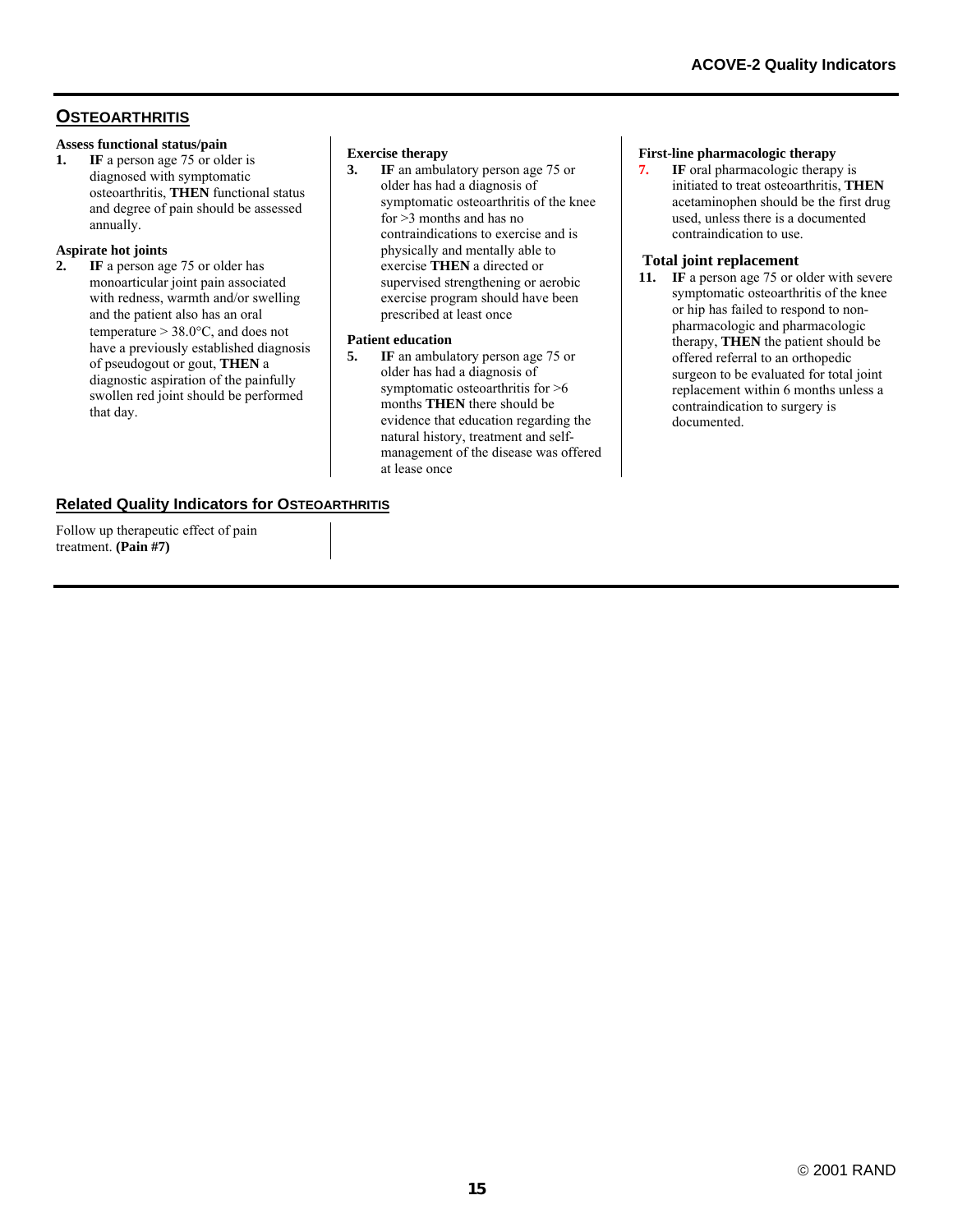# **OSTEOARTHRITIS**

#### **Assess functional status/pain**

**1. IF** a person age 75 or older is diagnosed with symptomatic osteoarthritis, **THEN** functional status and degree of pain should be assessed annually.

#### **Aspirate hot joints**

**2. IF** a person age 75 or older has monoarticular joint pain associated with redness, warmth and/or swelling and the patient also has an oral temperature > 38.0°C, and does not have a previously established diagnosis of pseudogout or gout, **THEN** a diagnostic aspiration of the painfully swollen red joint should be performed that day.

# **Exercise therapy**<br>**3.** IF an ambul

**IF** an ambulatory person age 75 or older has had a diagnosis of symptomatic osteoarthritis of the knee for >3 months and has no contraindications to exercise and is physically and mentally able to exercise **THEN** a directed or supervised strengthening or aerobic exercise program should have been prescribed at least once

#### **Patient education**

**5.** IF an ambulatory person age 75 or older has had a diagnosis of symptomatic osteoarthritis for >6 months **THEN** there should be evidence that education regarding the natural history, treatment and selfmanagement of the disease was offered at lease once

#### **First-line pharmacologic therapy**

**7.** IF oral pharmacologic therapy is initiated to treat osteoarthritis, **THEN** acetaminophen should be the first drug used, unless there is a documented contraindication to use.

#### **Total joint replacement**

**11. IF** a person age 75 or older with severe symptomatic osteoarthritis of the knee or hip has failed to respond to nonpharmacologic and pharmacologic therapy, **THEN** the patient should be offered referral to an orthopedic surgeon to be evaluated for total joint replacement within 6 months unless a contraindication to surgery is documented.

## **Related Quality Indicators for OSTEOARTHRITIS**

Follow up therapeutic effect of pain treatment. **(Pain #7)**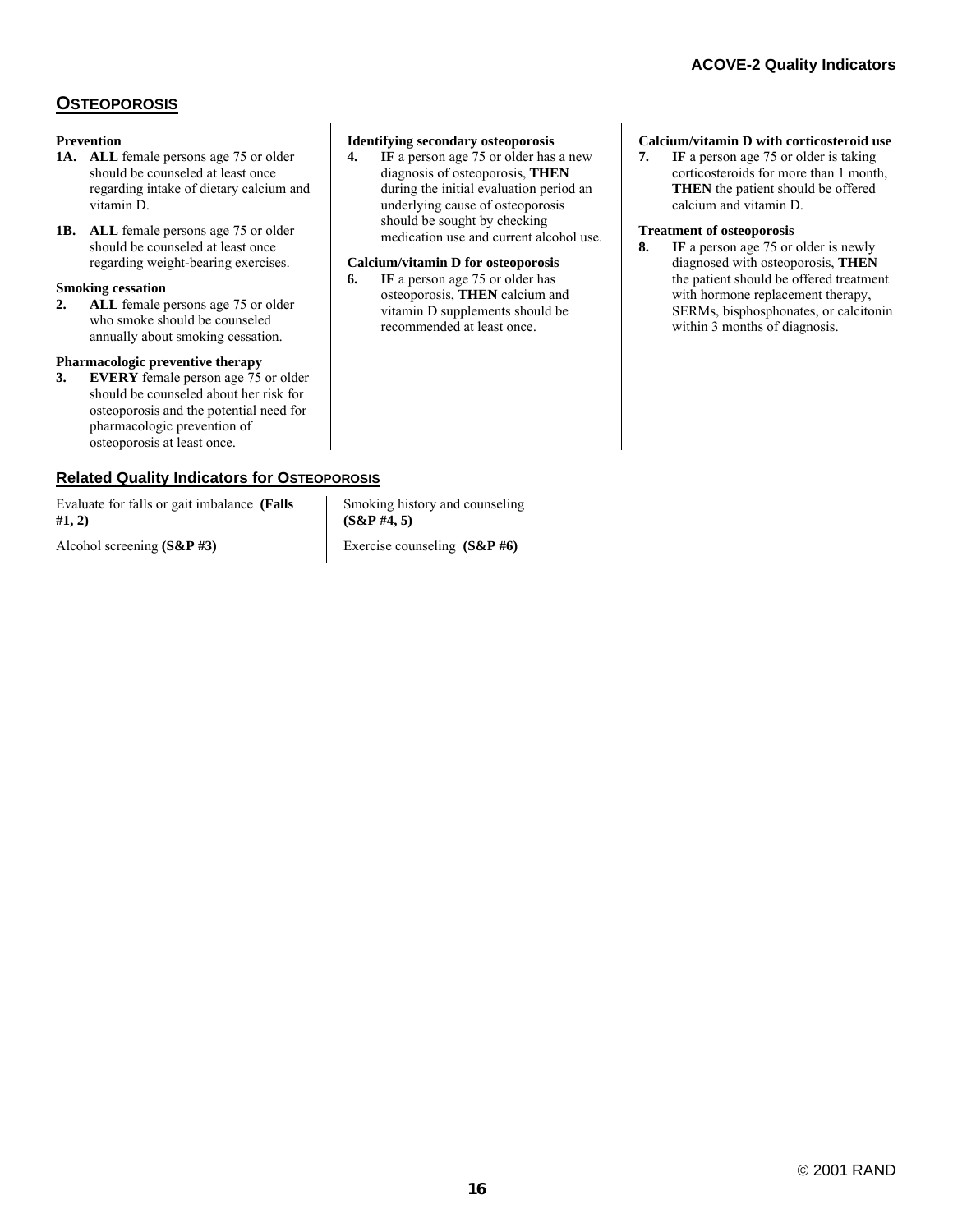# **OSTEOPOROSIS**

#### **Prevention**

- **1A. ALL** female persons age 75 or older should be counseled at least once regarding intake of dietary calcium and vitamin D.
- 1B. ALL female persons age 75 or older should be counseled at least once regarding weight-bearing exercises.

#### **Smoking cessation**

**2. ALL** female persons age 75 or older who smoke should be counseled annually about smoking cessation.

### **Pharmacologic preventive therapy**

**3. EVERY** female person age 75 or older should be counseled about her risk for osteoporosis and the potential need for pharmacologic prevention of osteoporosis at least once.

## **Related Quality Indicators for OSTEOPOROSIS**

Evaluate for falls or gait imbalance **(Falls #1, 2)** 

Alcohol screening **(S&P #3)**

#### **Identifying secondary osteoporosis**

**4. IF** a person age 75 or older has a new diagnosis of osteoporosis, **THEN**  during the initial evaluation period an underlying cause of osteoporosis should be sought by checking medication use and current alcohol use.

#### **Calcium/vitamin D for osteoporosis**

**6. IF** a person age 75 or older has osteoporosis, **THEN** calcium and vitamin D supplements should be recommended at least once.

#### **Calcium/vitamin D with corticosteroid use**

**7. IF** a person age 75 or older is taking corticosteroids for more than 1 month, **THEN** the patient should be offered calcium and vitamin D.

#### **Treatment of osteoporosis**

**8. IF** a person age 75 or older is newly diagnosed with osteoporosis, **THEN** the patient should be offered treatment with hormone replacement therapy, SERMs, bisphosphonates, or calcitonin within 3 months of diagnosis.

Smoking history and counseling **(S&P #4, 5)** 

Exercise counseling **(S&P #6)**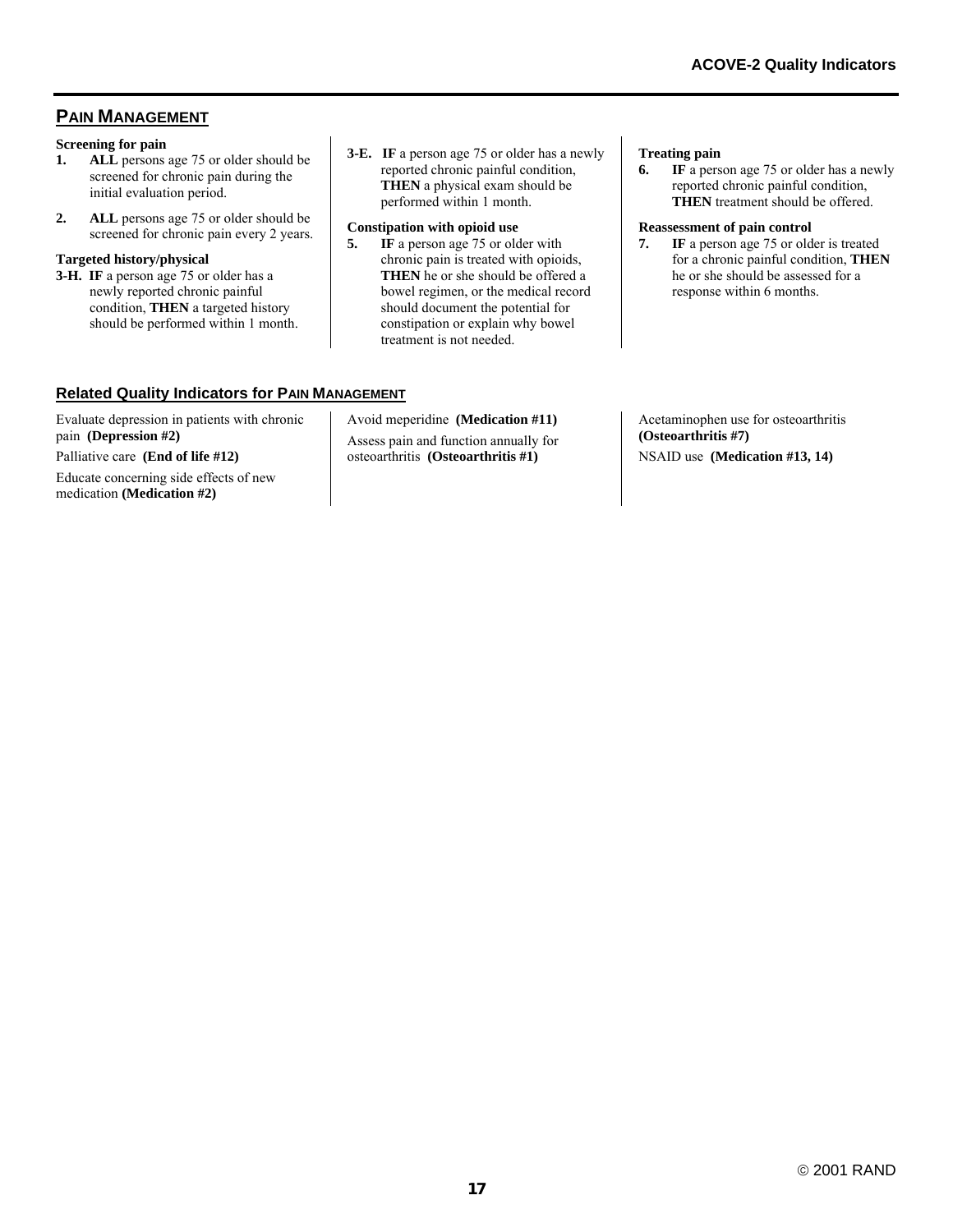# **PAIN MANAGEMENT**

#### **Screening for pain**

- **1. ALL** persons age 75 or older should be screened for chronic pain during the initial evaluation period.
- **2. ALL** persons age 75 or older should be screened for chronic pain every 2 years.

#### **Targeted history/physical**

- **3-H. IF** a person age 75 or older has a newly reported chronic painful condition, **THEN** a targeted history should be performed within 1 month.
- **3-E. IF** a person age 75 or older has a newly reported chronic painful condition, **THEN** a physical exam should be performed within 1 month.

#### **Constipation with opioid use**

**5. IF** a person age 75 or older with chronic pain is treated with opioids, **THEN** he or she should be offered a bowel regimen, or the medical record should document the potential for constipation or explain why bowel treatment is not needed.

### **Related Quality Indicators for PAIN MANAGEMENT**

Evaluate depression in patients with chronic pain **(Depression #2)**

Palliative care **(End of life #12)**

Educate concerning side effects of new medication **(Medication #2)**

Avoid meperidine **(Medication #11)** Assess pain and function annually for osteoarthritis **(Osteoarthritis #1)**

**Treating pain** 

**6. IF** a person age 75 or older has a newly reported chronic painful condition, **THEN** treatment should be offered.

#### **Reassessment of pain control**

**7. IF** a person age 75 or older is treated for a chronic painful condition, **THEN** he or she should be assessed for a response within 6 months.

Acetaminophen use for osteoarthritis **(Osteoarthritis #7)** NSAID use **(Medication #13, 14)**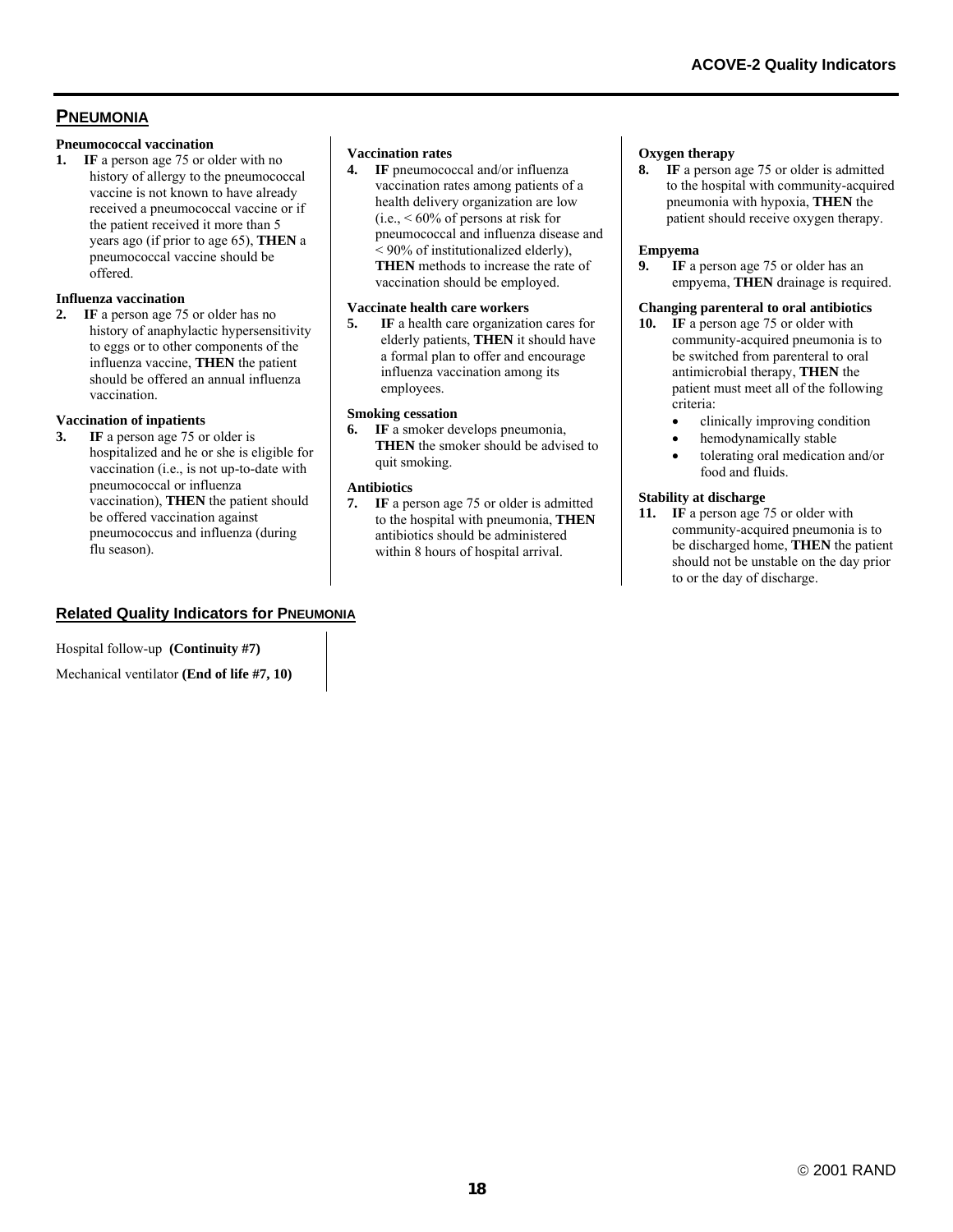# **PNEUMONIA**

#### **Pneumococcal vaccination**

**1. IF** a person age 75 or older with no history of allergy to the pneumococcal vaccine is not known to have already received a pneumococcal vaccine or if the patient received it more than 5 years ago (if prior to age 65), **THEN** a pneumococcal vaccine should be offered.

#### **Influenza vaccination**

**2. IF** a person age 75 or older has no history of anaphylactic hypersensitivity to eggs or to other components of the influenza vaccine, **THEN** the patient should be offered an annual influenza vaccination.

#### **Vaccination of inpatients**

**3. IF** a person age 75 or older is hospitalized and he or she is eligible for vaccination (i.e., is not up-to-date with pneumococcal or influenza vaccination), **THEN** the patient should be offered vaccination against pneumococcus and influenza (during flu season).

#### **Vaccination rates**

**4. IF** pneumococcal and/or influenza vaccination rates among patients of a health delivery organization are low  $(i.e.,  $60\%$  of persons at risk for$ pneumococcal and influenza disease and < 90% of institutionalized elderly), **THEN** methods to increase the rate of vaccination should be employed.

#### **Vaccinate health care workers**

**5. IF** a health care organization cares for elderly patients, **THEN** it should have a formal plan to offer and encourage influenza vaccination among its employees.

#### **Smoking cessation**

**6. IF** a smoker develops pneumonia, **THEN** the smoker should be advised to quit smoking.

#### **Antibiotics**

**7. IF** a person age 75 or older is admitted to the hospital with pneumonia, **THEN** antibiotics should be administered within 8 hours of hospital arrival.

#### **Oxygen therapy**

**8. IF** a person age 75 or older is admitted to the hospital with community-acquired pneumonia with hypoxia, **THEN** the patient should receive oxygen therapy.

#### **Empyema**

**9. IF** a person age 75 or older has an empyema, **THEN** drainage is required.

#### **Changing parenteral to oral antibiotics**

- **10. IF** a person age 75 or older with community-acquired pneumonia is to be switched from parenteral to oral antimicrobial therapy, **THEN** the patient must meet all of the following criteria:
	- clinically improving condition
	- hemodynamically stable
	- tolerating oral medication and/or food and fluids.

#### **Stability at discharge**

11. **IF** a person age 75 or older with community-acquired pneumonia is to be discharged home, **THEN** the patient should not be unstable on the day prior to or the day of discharge.

# **Related Quality Indicators for PNEUMONIA**

Hospital follow-up **(Continuity #7)**

Mechanical ventilator **(End of life #7, 10)**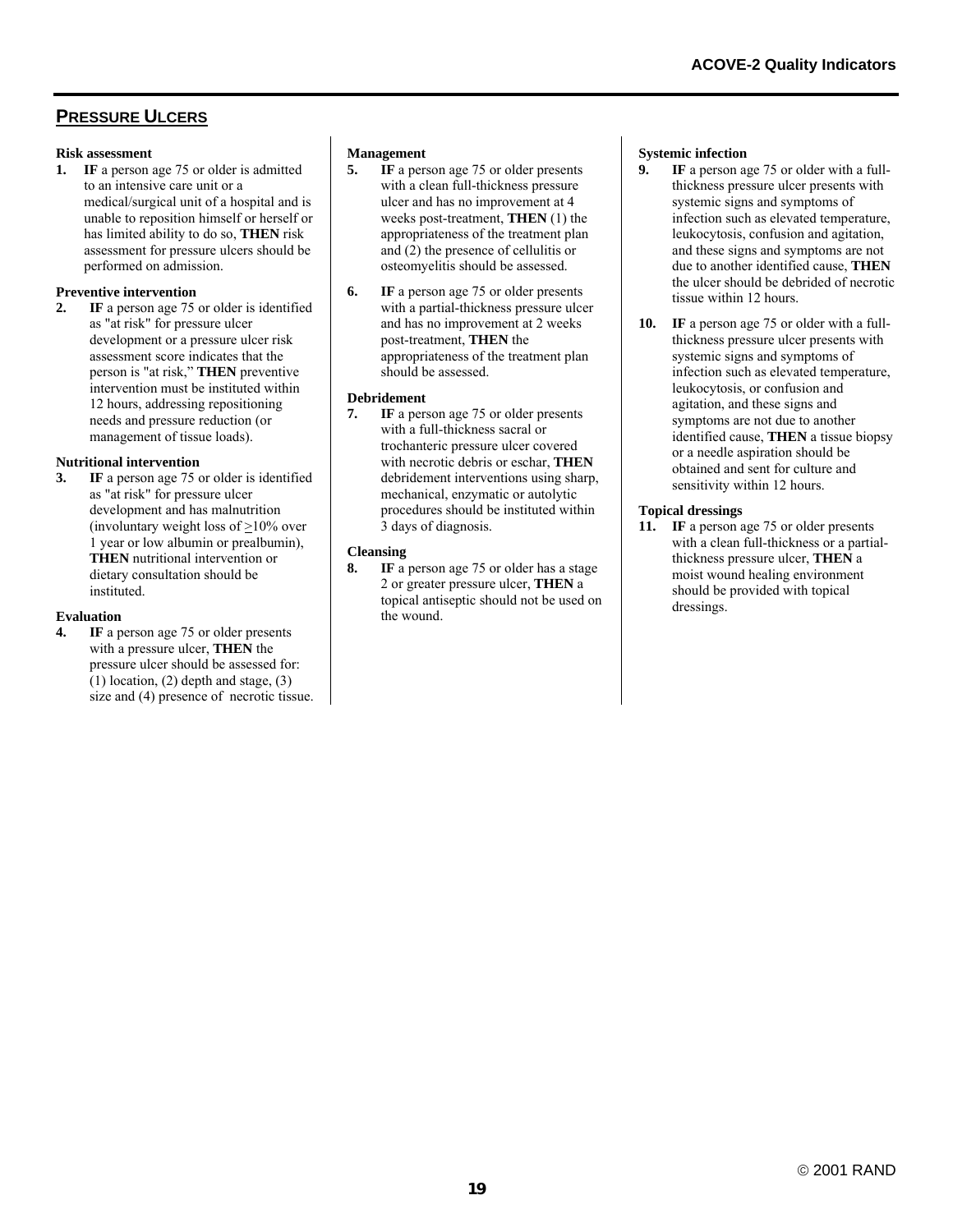# **PRESSURE ULCERS**

#### **Risk assessment**

**1. IF** a person age 75 or older is admitted to an intensive care unit or a medical/surgical unit of a hospital and is unable to reposition himself or herself or has limited ability to do so, **THEN** risk assessment for pressure ulcers should be performed on admission.

#### **Preventive intervention**

**2. IF** a person age 75 or older is identified as "at risk" for pressure ulcer development or a pressure ulcer risk assessment score indicates that the person is "at risk," **THEN** preventive intervention must be instituted within 12 hours, addressing repositioning needs and pressure reduction (or management of tissue loads).

#### **Nutritional intervention**

**3. IF** a person age 75 or older is identified as "at risk" for pressure ulcer development and has malnutrition (involuntary weight loss of >10% over 1 year or low albumin or prealbumin), **THEN** nutritional intervention or dietary consultation should be instituted.

#### **Evaluation**

**IF** a person age 75 or older presents with a pressure ulcer, **THEN** the pressure ulcer should be assessed for:  $(1)$  location,  $(2)$  depth and stage,  $(3)$ size and (4) presence of necrotic tissue.

# **Management**<br>**5.** IF a pers

- **5. IF** a person age 75 or older presents with a clean full-thickness pressure ulcer and has no improvement at 4 weeks post-treatment, **THEN** (1) the appropriateness of the treatment plan and (2) the presence of cellulitis or osteomyelitis should be assessed.
- **6. IF** a person age 75 or older presents with a partial-thickness pressure ulcer and has no improvement at 2 weeks post-treatment, **THEN** the appropriateness of the treatment plan should be assessed.

#### **Debridement**

**7. IF** a person age 75 or older presents with a full-thickness sacral or trochanteric pressure ulcer covered with necrotic debris or eschar, **THEN** debridement interventions using sharp, mechanical, enzymatic or autolytic procedures should be instituted within 3 days of diagnosis.

#### **Cleansing**

**8. IF** a person age 75 or older has a stage 2 or greater pressure ulcer, **THEN** a topical antiseptic should not be used on the wound.

# **Systemic infection**<br>**9 IF** a person as

- **IF** a person age 75 or older with a fullthickness pressure ulcer presents with systemic signs and symptoms of infection such as elevated temperature, leukocytosis, confusion and agitation, and these signs and symptoms are not due to another identified cause, **THEN** the ulcer should be debrided of necrotic tissue within 12 hours.
- **10. IF** a person age 75 or older with a fullthickness pressure ulcer presents with systemic signs and symptoms of infection such as elevated temperature, leukocytosis, or confusion and agitation, and these signs and symptoms are not due to another identified cause, **THEN** a tissue biopsy or a needle aspiration should be obtained and sent for culture and sensitivity within 12 hours.

#### **Topical dressings**

**11. IF** a person age 75 or older presents with a clean full-thickness or a partialthickness pressure ulcer, **THEN** a moist wound healing environment should be provided with topical dressings.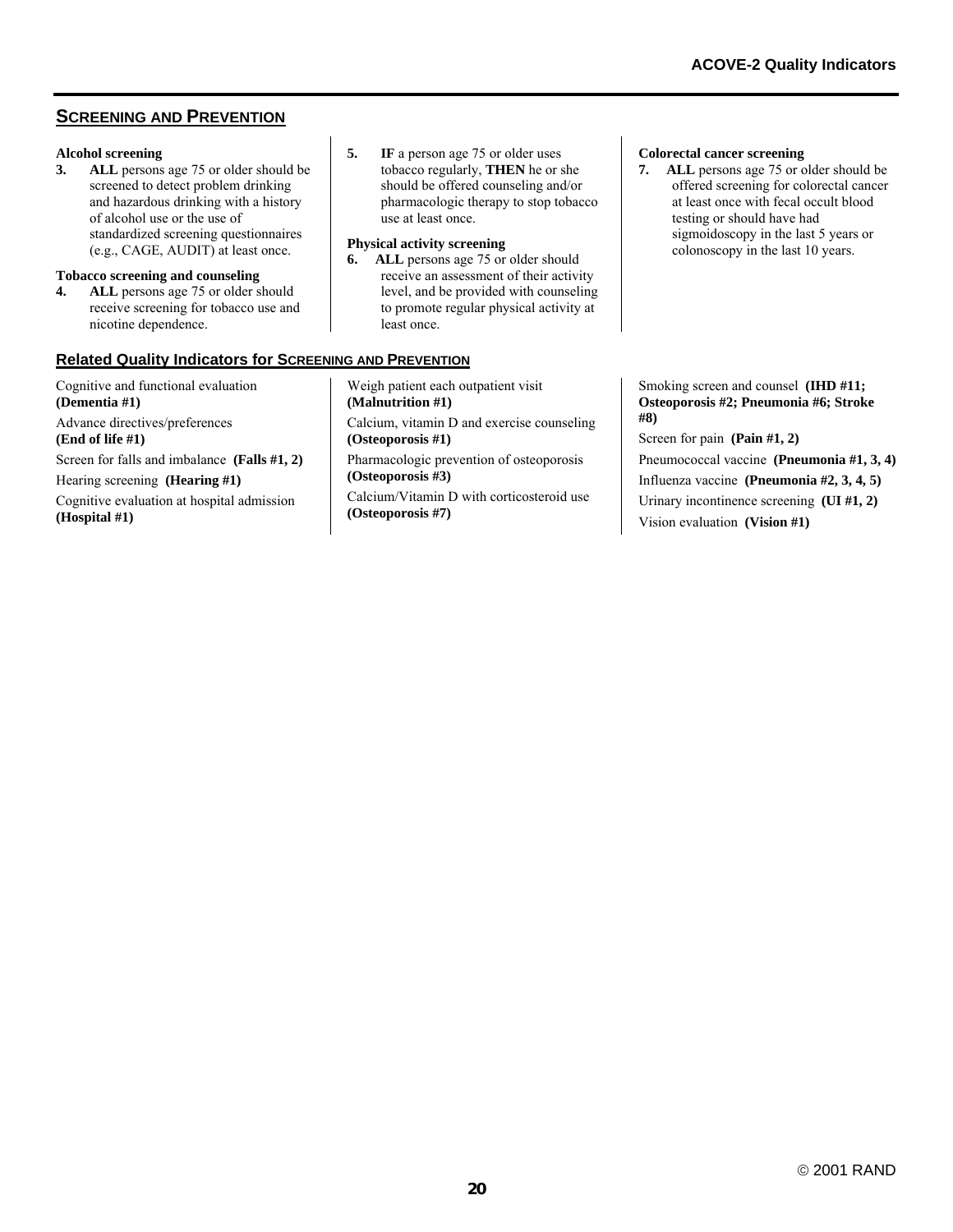# **SCREENING AND PREVENTION**

# **Alcohol screening**

ALL persons age 75 or older should be screened to detect problem drinking and hazardous drinking with a history of alcohol use or the use of standardized screening questionnaires (e.g., CAGE, AUDIT) at least once.

#### **Tobacco screening and counseling**

**4. ALL** persons age 75 or older should receive screening for tobacco use and nicotine dependence.

# **Related Quality Indicators for SCREENING AND PREVENTION**

Cognitive and functional evaluation **(Dementia #1)** Advance directives/preferences **(End of life #1)** Screen for falls and imbalance **(Falls #1, 2)**

Hearing screening **(Hearing #1)**

Cognitive evaluation at hospital admission **(Hospital #1)**

**5.** IF a person age 75 or older uses tobacco regularly, **THEN** he or she should be offered counseling and/or pharmacologic therapy to stop tobacco use at least once.

### **Physical activity screening**

**6. ALL** persons age 75 or older should receive an assessment of their activity level, and be provided with counseling to promote regular physical activity at least once.

#### **Colorectal cancer screening**

**7. ALL** persons age 75 or older should be offered screening for colorectal cancer at least once with fecal occult blood testing or should have had sigmoidoscopy in the last 5 years or colonoscopy in the last 10 years.

Weigh patient each outpatient visit **(Malnutrition #1)** Calcium, vitamin D and exercise counseling **(Osteoporosis #1)**  Pharmacologic prevention of osteoporosis **(Osteoporosis #3)**  Calcium/Vitamin D with corticosteroid use **(Osteoporosis #7)** 

Smoking screen and counsel **(IHD #11; Osteoporosis #2; Pneumonia #6; Stroke #8)**

Screen for pain **(Pain #1, 2)** Pneumococcal vaccine **(Pneumonia #1, 3, 4)** Influenza vaccine **(Pneumonia #2, 3, 4, 5)** Urinary incontinence screening **(UI #1, 2)** Vision evaluation **(Vision #1)**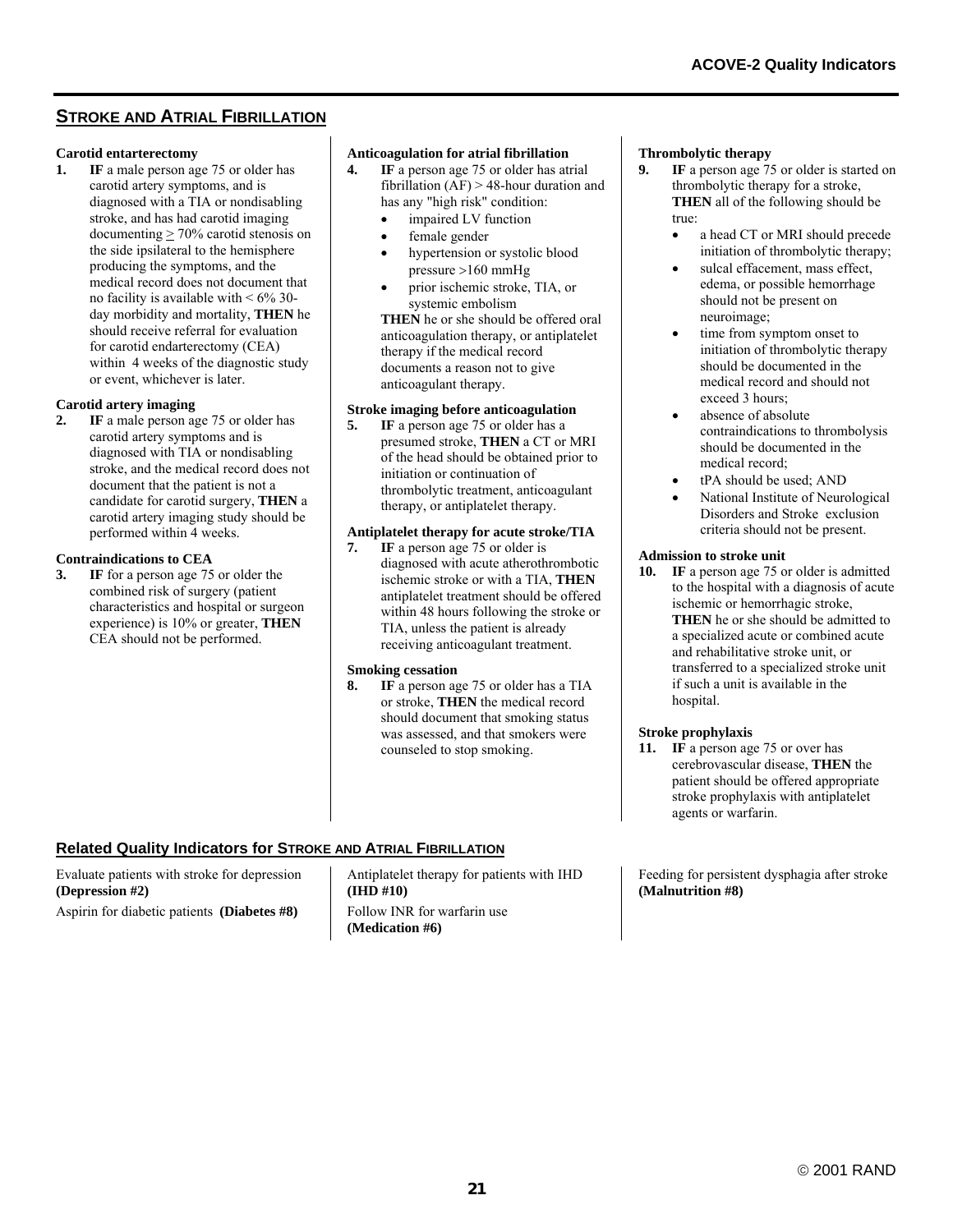# **STROKE AND ATRIAL FIBRILLATION**

# **Carotid entarterectomy**<br>**1.** IF a male person age

**1F** a male person age 75 or older has carotid artery symptoms, and is diagnosed with a TIA or nondisabling stroke, and has had carotid imaging documenting  $\geq 70\%$  carotid stenosis on the side ipsilateral to the hemisphere producing the symptoms, and the medical record does not document that no facility is available with  $\leq 6\%$  30day morbidity and mortality, **THEN** he should receive referral for evaluation for carotid endarterectomy (CEA) within 4 weeks of the diagnostic study or event, whichever is later.

#### **Carotid artery imaging**

**2. IF** a male person age 75 or older has carotid artery symptoms and is diagnosed with TIA or nondisabling stroke, and the medical record does not document that the patient is not a candidate for carotid surgery, **THEN** a carotid artery imaging study should be performed within 4 weeks.

#### **Contraindications to CEA**

**3. IF** for a person age 75 or older the combined risk of surgery (patient characteristics and hospital or surgeon experience) is 10% or greater, **THEN** CEA should not be performed.

# **Anticoagulation for atrial fibrillation**<br>**4.** IF a person age 75 or older has at

- **IF** a person age 75 or older has atrial fibrillation (AF) > 48-hour duration and has any "high risk" condition:
	- impaired LV function
	- female gender
	- hypertension or systolic blood pressure >160 mmHg
	- prior ischemic stroke, TIA, or systemic embolism

**THEN** he or she should be offered oral anticoagulation therapy, or antiplatelet therapy if the medical record documents a reason not to give anticoagulant therapy.

#### **Stroke imaging before anticoagulation**

**5. IF** a person age 75 or older has a presumed stroke, **THEN** a CT or MRI of the head should be obtained prior to initiation or continuation of thrombolytic treatment, anticoagulant therapy, or antiplatelet therapy.

# **Antiplatelet therapy for acute stroke/TIA**<br>**7.** IF a person age 75 or older is

**IF** a person age 75 or older is diagnosed with acute atherothrombotic ischemic stroke or with a TIA, **THEN** antiplatelet treatment should be offered within 48 hours following the stroke or TIA, unless the patient is already receiving anticoagulant treatment.

#### **Smoking cessation**

**8. IF** a person age 75 or older has a TIA or stroke, **THEN** the medical record should document that smoking status was assessed, and that smokers were counseled to stop smoking.

# **Thrombolytic therapy**<br>**9.** IF a person age 75

- **IF** a person age 75 or older is started on thrombolytic therapy for a stroke, **THEN** all of the following should be true:
	- a head CT or MRI should precede initiation of thrombolytic therapy;
	- sulcal effacement, mass effect. edema, or possible hemorrhage should not be present on neuroimage;
	- time from symptom onset to initiation of thrombolytic therapy should be documented in the medical record and should not exceed 3 hours;
	- absence of absolute contraindications to thrombolysis should be documented in the medical record;
	- tPA should be used; AND
	- National Institute of Neurological Disorders and Stroke exclusion criteria should not be present.

#### **Admission to stroke unit**

**10. IF** a person age 75 or older is admitted to the hospital with a diagnosis of acute ischemic or hemorrhagic stroke, **THEN** he or she should be admitted to a specialized acute or combined acute and rehabilitative stroke unit, or transferred to a specialized stroke unit if such a unit is available in the hospital.

#### **Stroke prophylaxis**

**11. IF** a person age 75 or over has cerebrovascular disease, **THEN** the patient should be offered appropriate stroke prophylaxis with antiplatelet agents or warfarin.

Feeding for persistent dysphagia after stroke **(Malnutrition #8)**

#### **Related Quality Indicators for STROKE AND ATRIAL FIBRILLATION**

Evaluate patients with stroke for depression **(Depression #2)**  Aspirin for diabetic patients **(Diabetes #8)**

Antiplatelet therapy for patients with IHD **(IHD #10)** Follow INR for warfarin use **(Medication #6)**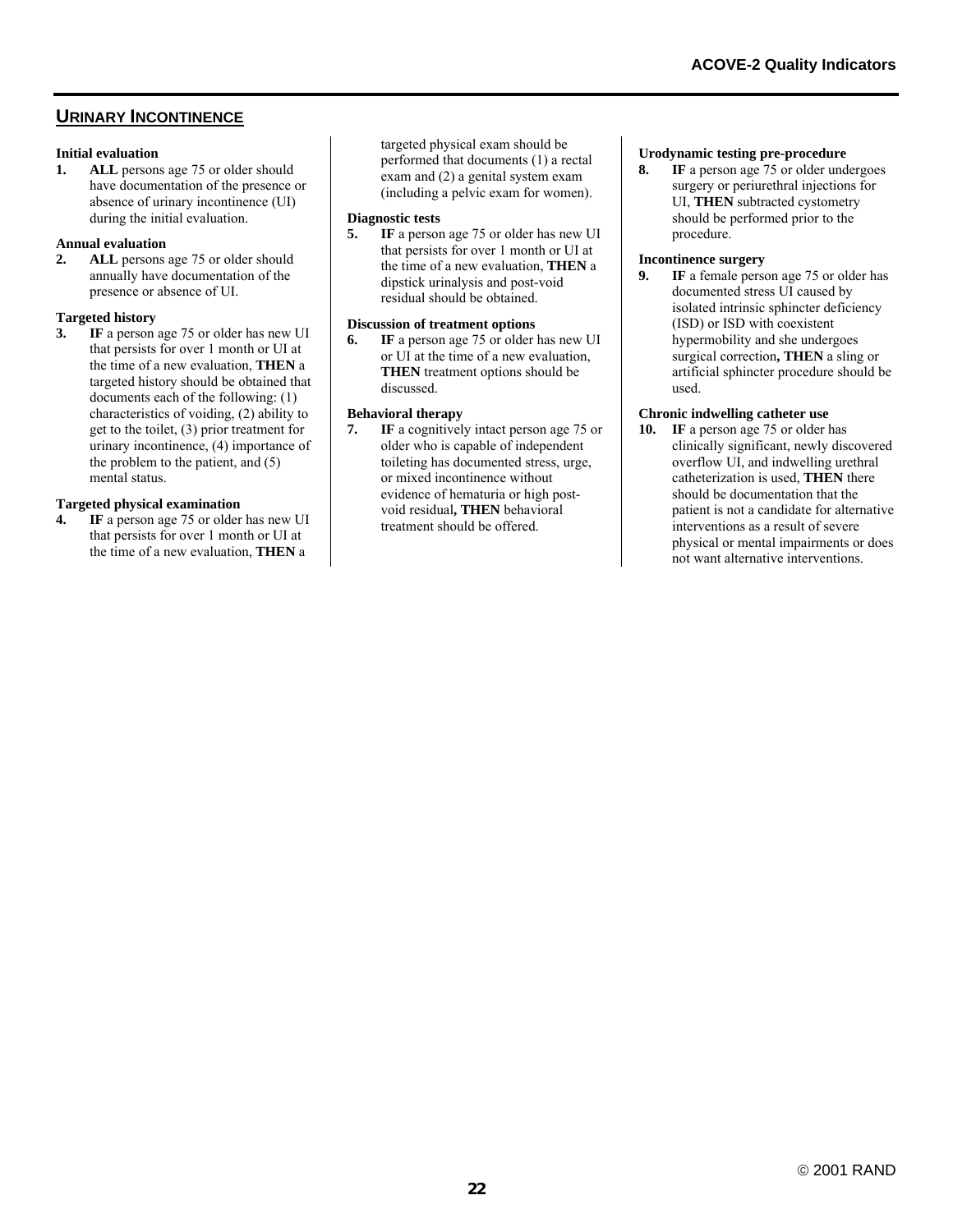# **URINARY INCONTINENCE**

# **Initial evaluation**<br>**1. ALL** person

ALL persons age 75 or older should have documentation of the presence or absence of urinary incontinence (UI) during the initial evaluation.

# **Annual evaluation**

**2. ALL** persons age 75 or older should annually have documentation of the presence or absence of UI.

# **Targeted history**

**3. IF** a person age 75 or older has new UI that persists for over 1 month or UI at the time of a new evaluation, **THEN** a targeted history should be obtained that documents each of the following: (1) characteristics of voiding, (2) ability to get to the toilet, (3) prior treatment for urinary incontinence, (4) importance of the problem to the patient, and (5) mental status.

# **Targeted physical examination**

**4. IF** a person age 75 or older has new UI that persists for over 1 month or UI at the time of a new evaluation, **THEN** a

targeted physical exam should be performed that documents (1) a rectal exam and (2) a genital system exam (including a pelvic exam for women).

#### **Diagnostic tests**

**5. IF** a person age 75 or older has new UI that persists for over 1 month or UI at the time of a new evaluation, **THEN** a dipstick urinalysis and post-void residual should be obtained.

#### **Discussion of treatment options**

**6. IF** a person age 75 or older has new UI or UI at the time of a new evaluation, **THEN** treatment options should be discussed.

#### **Behavioral therapy**

**7. IF** a cognitively intact person age 75 or older who is capable of independent toileting has documented stress, urge, or mixed incontinence without evidence of hematuria or high postvoid residual**, THEN** behavioral treatment should be offered.

#### **Urodynamic testing pre-procedure**

**8. IF** a person age 75 or older undergoes surgery or periurethral injections for UI, **THEN** subtracted cystometry should be performed prior to the procedure.

#### **Incontinence surgery**

**9. IF** a female person age 75 or older has documented stress UI caused by isolated intrinsic sphincter deficiency (ISD) or ISD with coexistent hypermobility and she undergoes surgical correction**, THEN** a sling or artificial sphincter procedure should be used.

#### **Chronic indwelling catheter use**

**10. IF** a person age 75 or older has clinically significant, newly discovered overflow UI, and indwelling urethral catheterization is used, **THEN** there should be documentation that the patient is not a candidate for alternative interventions as a result of severe physical or mental impairments or does not want alternative interventions.